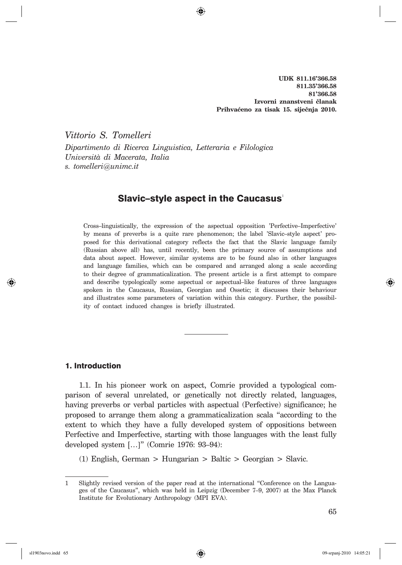**UDK 811.16'366.58 811.35'366.58 81'366.58** Izvorni znanstveni članak Prihvaćeno za tisak 15. siječnja 2010.

*Vittorio S. Tomelleri Dipartimento di Ricerca Linguistica, Letteraria e Filologica Università di Macerata, Italia s. tomelleri*@*unimc.it*

# Slavic-style aspect in the Caucasus'

Cross–linguistically, the expression of the aspectual opposition 'Perfective–Imperfective' by means of preverbs is a quite rare phenomenon; the label 'Slavic–style aspect' proposed for this derivational category reflects the fact that the Slavic language family (Russian above all) has, until recently, been the primary source of assumptions and data about aspect. However, similar systems are to be found also in other languages and language families, which can be compared and arranged along a scale according to their degree of grammaticalization. The present article is a first attempt to compare and describe typologically some aspectual or aspectual–like features of three languages spoken in the Caucasus, Russian, Georgian and Ossetic; it discusses their behaviour and illustrates some parameters of variation within this category. Further, the possibility of contact induced changes is briefly illustrated.

### 1. Introduction

1.1. In his pioneer work on aspect, Comrie provided a typological comparison of several unrelated, or genetically not directly related, languages, having preverbs or verbal particles with aspectual (Perfective) significance; he proposed to arrange them along a grammaticalization scala "according to the extent to which they have a fully developed system of oppositions between Perfective and Imperfective, starting with those languages with the least fully developed system […]" (Comrie 1976: 93–94):

(1) English, German > Hungarian > Baltic > Georgian > Slavic.

<sup>1</sup> Slightly revised version of the paper read at the international "Conference on the Languages of the Caucasus", which was held in Leipzig (December 7–9, 2007) at the Max Planck Institute for Evolutionary Anthropology (MPI EVA).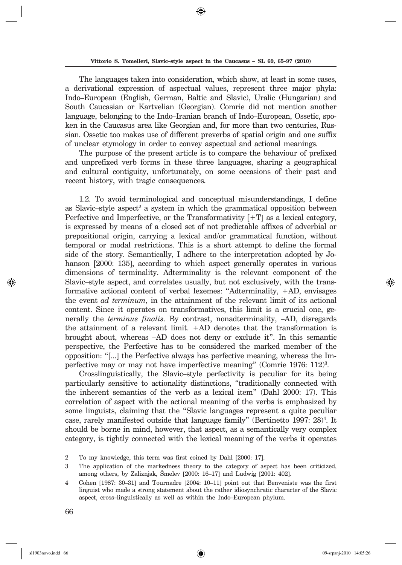The languages taken into consideration, which show, at least in some cases, a derivational expression of aspectual values, represent three major phyla: Indo–European (English, German, Baltic and Slavic), Uralic (Hungarian) and South Caucasian or Kartvelian (Georgian). Comrie did not mention another language, belonging to the Indo–Iranian branch of Indo–European, Ossetic, spoken in the Caucasus area like Georgian and, for more than two centuries, Russian. Ossetic too makes use of different preverbs of spatial origin and one suffix of unclear etymology in order to convey aspectual and actional meanings.

The purpose of the present article is to compare the behaviour of prefixed and unprefixed verb forms in these three languages, sharing a geographical and cultural contiguity, unfortunately, on some occasions of their past and recent history, with tragic consequences.

1.2. To avoid terminological and conceptual misunderstandings, I define as Slavic–style aspect<sup>2</sup> a system in which the grammatical opposition between Perfective and Imperfective, or the Transformativity  $[+T]$  as a lexical category, is expressed by means of a closed set of not predictable affixes of adverbial or prepositional origin, carrying a lexical and/or grammatical function, without temporal or modal restrictions. This is a short attempt to define the formal side of the story. Semantically, I adhere to the interpretation adopted by Johanson [2000: 135], according to which aspect generally operates in various dimensions of terminality. Adterminality is the relevant component of the Slavic–style aspect, and correlates usually, but not exclusively, with the transformative actional content of verbal lexemes: "Adterminality,  $+AD$ , envisages the event *ad terminum*, in the attainment of the relevant limit of its actional content. Since it operates on transformatives, this limit is a crucial one, generally the *terminus finalis*. By contrast, nonadterminality,  $-AD$ , disregards the attainment of a relevant limit.  $+AD$  denotes that the transformation is brought about, whereas –AD does not deny or exclude it". In this semantic perspective, the Perfective has to be considered the mar ked mem ber of the opposition: "[...] the Perfective always has perfective mea ning, whereas the Imperfective may or may not have imperfective meaning" (Comrie 1976: 112)<sup>3</sup>.

Crosslinguistically, the Slavic–style perfectivity is peculiar for its being particularly sensitive to actionality distinctions, "traditionally connected with the inherent semantics of the verb as a lexical item" (Dahl 2000: 17). This correlation of aspect with the actional meaning of the verbs is emphasized by some linguists, claiming that the "Slavic languages represent a quite peculiar case, rarely manifested outside that language family" (Bertinetto 1997: 28)<sup>4</sup>. It should be borne in mind, however, that aspect, as a semantically very complex category, is tightly connected with the lexical meaning of the verbs it operates

<sup>2</sup> To my knowledge, this term was first coined by Dahl [2000: 17].

<sup>3</sup> The application of the markedness theory to the category of aspect has been criticized, among others, by Zaliznjak, Šmelev [2000: 16-17] and Ludwig [2001: 402].

<sup>4</sup> Cohen [1987: 30–31] and Tournadre [2004: 10–11] point out that Benveniste was the first linguist who made a strong statement about the rather idiosynchratic character of the Slavic aspect, cross–linguistically as well as within the Indo–European phylum.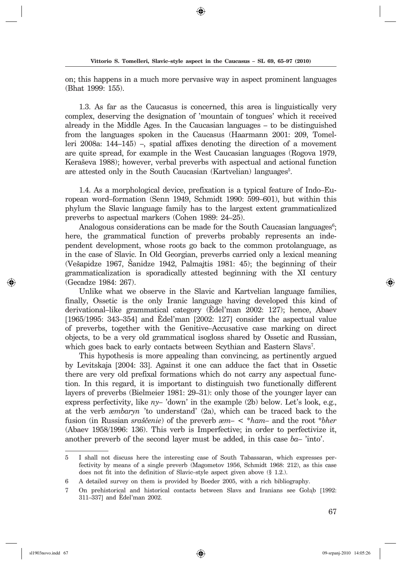on; this happens in a much more pervasive way in aspect prominent languages (Bhat 1999: 155).

1.3. As far as the Caucasus is concerned, this area is linguistically very complex, deserving the designation of 'mountain of tongues' which it received al ready in the Middle Ages. In the Caucasian languages  $-$  to be distinguished from the languages spoken in the Caucasus (Haarmann 2001: 209, Tomelleri 2008a:  $144-145$ ) –, spatial affixes denoting the direction of a movement are quite spread, for example in the West Caucasian languages (Rogova 1979, Keraševa 1988); however, verbal preverbs with aspectual and actional function are attested only in the South Caucasian (Kartvelian) languages<sup>5</sup>.

1.4. As a morphological device, prefixation is a typical feature of Indo–Euro pean word–formation (Senn 1949, Schmidt 1990: 599–601), but within this phylum the Slavic language family has to the largest extent grammaticalized preverbs to aspectual markers (Cohen 1989: 24–25).

Analogous considerations can be made for the South Caucasian languages<sup>6</sup>; here, the grammatical function of preverbs probably represents an independent development, whose roots go back to the common protolanguage, as in the case of Slavic. In Old Georgian, preverbs carried only a lexical meaning (Ve  $\alpha$  1967, Sanidze 1942, Palmajtis 1981: 45); the beginning of their grammaticalization is sporadically attested beginning with the XI century (Gecadze 1984: 267).

Unlike what we observe in the Slavic and Kartvelian language families, finally, Ossetic is the only Iranic language having developed this kind of derivational–like grammatical category (Edel'man 2002: 127); hence, Abaev  $[1965/1995: 343-354]$  and Edel'man  $[2002: 127]$  consider the aspectual value of preverbs, together with the Genitive–Accusative case marking on direct objects, to be a very old grammatical isogloss shared by Ossetic and Russian, which goes back to early contacts between Scythian and Eastern Slavs<sup>7</sup>.

This hypothesis is more appealing than convincing, as pertinently argued by Le vits kaja [2004: 33]. Against it one can adduce the fact that in Ossetic there are very old prefixal formations which do not carry any aspectual function. In this regard, it is important to distinguish two functionally different layers of preverbs (Bielmeier 1981: 29–31): only those of the younger layer can express perfectivity, like  $n_y$ – 'down' in the example (2b) below. Let's look, e.g., at the verb *æmba ryn* 'to un der stand' (2a), which can be traced back to the fusion (in Russian *sraščenie*) of the preverb *æm–* < \**ham*– and the root \**bher* (Abaev  $1958/1996$ : 136). This verb is Imperfective; in order to perfectivize it, another preverb of the second layer must be added, in this case  $ba-$  'into'.

<sup>5</sup> I shall not discuss here the interesting case of South Tabassaran, which expresses perfectivity by means of a single preverb (Magometov 1956, Schmidt 1968: 212), as this case does not fit into the definition of Slavic–style aspect given above  $(\S 1.2.)$ .

<sup>6</sup> A detailed survey on them is provided by Boeder 2005, with a rich bibliography.

<sup>7</sup> On prehistorical and historical contacts between Slavs and Iranians see Gołąb [1992: 311–337] and Èdel' man 2002.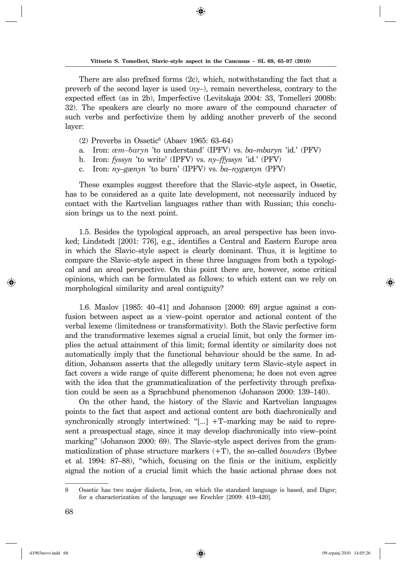◈

There are also prefixed forms (2c), which, notwithstanding the fact that a preverb of the second layer is used  $(ny)$ , remain nevertheless, contrary to the expected effect (as in 2b), Imperfective (Levitskaja 2004: 33, Tomelleri 2008b: 32). The speakers are clearly no more aware of the compound character of such verbs and perfectivize them by adding another preverb of the second layer:

- $(2)$  Preverbs in Ossetic<sup>8</sup> (Abaev 1965: 63–64)
- a. Iron: *æm–baryn* 'to understand' (IPFV) vs. *ba–mbaryn* 'id.' (PFV)
- b. Iron: *fyssyn* 'to write' (IPFV) vs. *ny–ffyssyn* 'id.' (PFV)
- c. Iron: *ny–gænyn* 'to burn' (IPFV) vs. *ba–nygænyn* (PFV)

These examples suggest therefore that the Slavic–style aspect, in Ossetic, has to be considered as a quite late development, not necessarily induced by contact with the Kartvelian languages rather than with Russian; this conclusion brings us to the next point.

1.5. Besides the typological approach, an areal perspective has been invoked; Lindstedt [2001: 776], e.g., identifies a Central and Eastern Europe area in which the Slavic–style aspect is clearly dominant. Thus, it is legitime to compare the Slavic–style aspect in these three languages from both a typological and an areal perspective. On this point there are, however, some critical opinions, which can be for mulated as follows: to which extent can we rely on morphological similarity and areal contiguity?

1.6. Maslov [1985: 40–41] and Johanson [2000: 69] argue against a confusion between aspect as a view–point operator and actional content of the verbal lexeme (limitedness or transformativity). Both the Slavic perfective form and the transformative lexemes signal a crucial limit, but only the former implies the actual attainment of this limit; formal identity or similarity does not auto matically imply that the functional behaviour should be the same. In addition, Johanson asserts that the allegedly unitary term Slavic–style aspect in fact covers a wide range of quite different phenomena; he does not even agree with the idea that the grammaticalization of the perfectivity through prefixation could be seen as a Sprachbund phenomenon (Johanson 2000: 139–140).

On the other hand, the history of the Slavic and Kartvelian languages points to the fact that aspect and actional content are both diachronically and syn chronically strongly intertwined: "[...]  $+T$ –marking may be said to represent a preaspectual stage, since it may develop diachronically into view–point marking" (Johanson 2000: 69). The Slavic–style aspect derives from the grammaticalization of phase structure markers  $(+T)$ , the so-called *bounders* (Bybee et al. 1994: 87–88), "which, focusing on the finis or the initium, explicitly signal the notion of a crucial limit which the basic actional phrase does not

sl1903novo.indd 68 09-srpanj-2010 14:05:26 9-srpanj-2010 14:05:26

<sup>8</sup> Ossetic has two major dialects, Iron, on which the standard language is based, and Digor; for a characterization of the language see Erschler [2009: 419–420].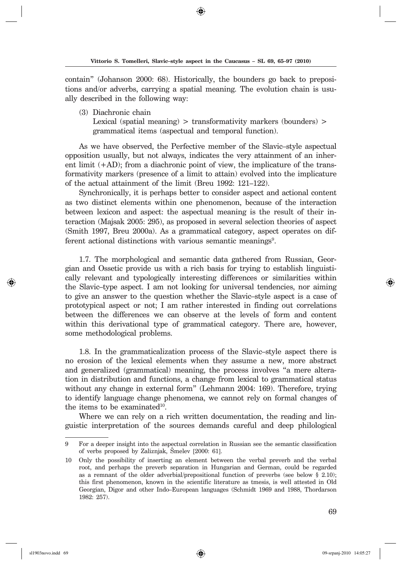contain" (Johanson 2000: 68). Historically, the bounders go back to prepositions and/or adverbs, carrying a spatial meaning. The evolution chain is usually described in the following way:

(3) Diachronic chain

Lexical (spatial meaning)  $>$  transformativity markers (bounders)  $>$ grammatical items (aspectual and temporal function).

As we have observed, the Perfective member of the Slavic–style aspectual op po sition usually, but not always, indicates the very attainment of an inherent limit  $(+AD)$ ; from a diachronic point of view, the implicature of the transfor mativity markers (presence of a limit to attain) evolved into the implicature of the actual attainment of the limit (Breu 1992: 121–122).

Syn chronically, it is perhaps better to consider aspect and actional content as two distinct elements within one phenomenon, because of the interaction between lexicon and aspect: the aspectual meaning is the result of their interaction (Majsak 2005: 295), as proposed in several selection theories of aspect (Smith 1997, Breu 2000a). As a gram matical category, aspect operates on different actional distinctions with various semantic meanings<sup>9</sup>.

1.7. The morphological and semantic data gathered from Russian, Georgian and Ossetic provide us with a rich basis for trying to establish linguistically relevant and typologically interesting differences or similarities within the Slavic–type aspect. I am not looking for universal tendencies, nor aiming to give an answer to the question whether the Slavic–style aspect is a case of prototypical aspect or not; I am rather interested in finding out correlations between the differences we can observe at the levels of form and content within this derivational type of grammatical category. There are, however, some methodological problems.

1.8. In the grammaticalization process of the Slavic–style aspect there is no erosion of the lexical elements when they assume a new, more abstract and generalized (grammatical) meaning, the process involves "a mere alteration in distribution and functions, a change from lexical to grammatical status without any change in external form" (Lehmann 2004: 169). Therefore, trying to identify language change phenomena, we cannot rely on formal changes of the items to be examinated $10$ .

Where we can rely on a rich written documentation, the reading and linguistic interpretation of the sources demands careful and deep philological

<sup>9</sup> For a deeper insight into the aspectual correlation in Russian see the semantic classification of verbs proposed by Zaliznjak, Šmelev [2000: 61].

<sup>10</sup> Only the possibility of inserting an element between the verbal preverb and the verbal root, and perhaps the preverb separation in Hungarian and German, could be regarded as a remnant of the older adverbial/prepositional function of preverbs (see below  $\S$  2.10); this first phenomenon, known in the scientific literature as tmesis, is well attested in Old Georgian, Digor and other Indo–European languages (Schmidt 1969 and 1988, Thordarson 1982: 257).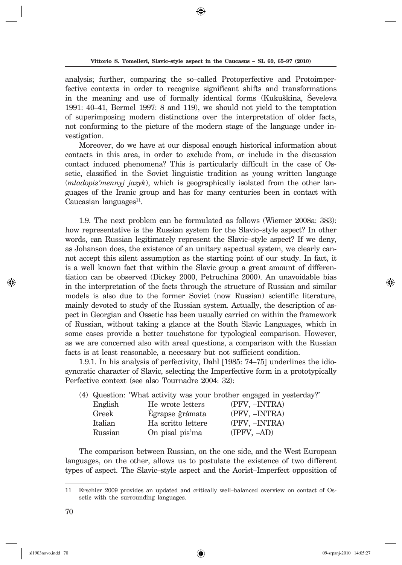analysis; further, comparing the so-called Protoperfective and Protoimperfective contexts in order to recognize significant shifts and transformations in the meaning and use of formally identical forms (Kukuškina, Ševeleva 1991:  $40-41$ , Bermel 1997: 8 and 119), we should not yield to the temptation of superimposing modern distinctions over the interpretation of older facts, not conforming to the picture of the modern stage of the language under investigation.

Moreover, do we have at our disposal enough historical information about con tacts in this area, in order to exclude from, or include in the discussion contact induced phenomena? This is particularly difficult in the case of Ossetic, classified in the Soviet linguistic tradition as young written language (*mladopis'mennyj jazyk*), which is geographically isolated from the other langua ges of the Iranic group and has for many centuries been in contact with Caucasian languages $^{11}$ .

1.9. The next problem can be formulated as follows (Wiemer 2008a: 383): how representative is the Russian system for the Slavic–style aspect? In other words, can Russian legitimately represent the Slavic–style aspect? If we deny, as Johanson does, the existence of an unitary aspectual system, we clearly cannot accept this silent assumption as the starting point of our study. In fact, it is a well known fact that within the Slavic group a great amount of differentiation can be observed (Dickey 2000, Petruchina 2000). An unavoidable bias in the interpretation of the facts through the structure of Russian and similar models is also due to the former Soviet (now Russian) scientific literature, mainly devoted to study of the Russian system. Actually, the description of aspect in Georgian and Ossetic has been usually carried on within the framework of Russian, without taking a glance at the South Slavic Languages, which in some cases provide a better touch stone for typological comparison. However, as we are concerned also with areal questions, a comparison with the Russian facts is at least reasonable, a necessary but not sufficient condition.

1.9.1. In his analysis of perfectivity, Dahl [1985: 74–75] underlines the idiosyn cratic character of Slavic, selecting the Imperfective form in a prototypically Perfective context (see also Tournadre 2004: 32):

|         |                    | (4) Question: 'What activity was your brother engaged in yesterday?' |
|---------|--------------------|----------------------------------------------------------------------|
| English | He wrote letters   | (PFV, -INTRA)                                                        |
| Greek   | Egrapse ğrámata    | (PFV, -INTRA)                                                        |
| Italian | Ha scritto lettere | (PFV. -INTRA)                                                        |
| Russian | On pisal pis'ma    | $(IPFV, -AD)$                                                        |
|         |                    |                                                                      |

The comparison between Russian, on the one side, and the West European languages, on the other, allows us to postulate the existence of two different types of aspect. The Slavic–style aspect and the Aorist–Imperfect opposition of

↔

<sup>11</sup> Erschler 2009 provides an updated and critically well-balanced overview on contact of Ossetic with the surrounding languages.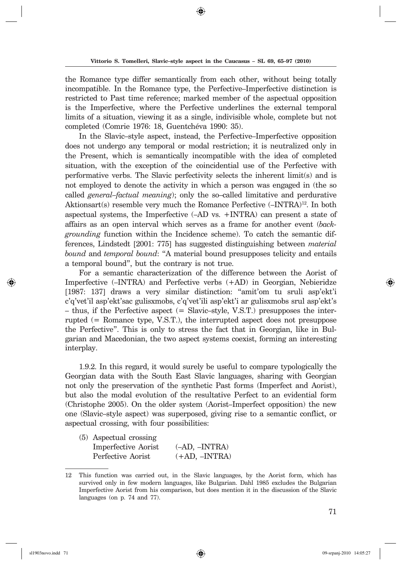the Romance type differ semantically from each other, without being totally incompatible. In the Romance type, the Perfective–Imperfective distinction is restricted to Past time reference; marked member of the aspectual opposition is the Imperfective, where the Perfective underlines the external temporal limits of a situation, viewing it as a single, indivisible whole, complete but not completed (Comrie 1976: 18, Guentchéva 1990: 35).

In the Slavic–style aspect, instead, the Perfective–Imperfective opposition does not undergo any temporal or modal restriction; it is neutralized only in the Present, which is semantically incompatible with the idea of completed situation, with the exception of the coincidential use of the Perfective with performative verbs. The Slavic perfectivity selects the inherent limit(s) and is not employed to denote the activity in which a person was engaged in (the so called *general–factual meaning*); only the so–called limitative and perdurative Aktions art(s) resemble very much the Romance Perfective  $(-INTRA)^{12}$ . In both as pectual systems, the Imperfective  $(-AD \text{ vs. } +INTRA)$  can present a state of affairs as an open in terval which serves as a frame for ano ther event (*backgrounding* function within the Incidence scheme). To catch the semantic differences, Lind stedt [2001: 775] has suggested distinguishing between *material bound* and *temporal bound*: "A material bound presupposes telicity and entails a temporal bound", but the contrary is not true.

For a semantic characterization of the difference between the Aorist of Imperfective (–INTRA) and Perfective verbs (+AD) in Georgian, Nebieridze [1987: 137] draws a very similar distinction: "amit'om tu sruli asp'ekt'i c'q'vet'il asp'ekt'sac gulisxmobs, c'q'vet'ili asp'ekt'i ar gulisxmobs srul asp'ekt's  $-$  thus, if the Perfective aspect (= Slavic–style, V.S.T.) presupposes the interrupted  $(=$  Romance type, V.S.T.), the interrupted aspect does not presuppose the Perfective". This is only to stress the fact that in Georgian, like in Bulgarian and Macedonian, the two aspect systems coexist, forming an interesting in terplay.

1.9.2. In this regard, it would surely be useful to compare typologically the Georgian data with the South East Slavic languages, sharing with Georgian not only the preservation of the synthetic Past forms (Imperfect and Aorist), but also the modal evolution of the resultative Perfect to an evidential form (Christophe 2005). On the older system (Aorist–Imperfect opposition) the new one (Slavic–style aspect) was superposed, giving rise to a semantic conflict, or aspectual crossing, with four possibilities:

| $(5)$ Aspectual crossing |                 |
|--------------------------|-----------------|
| Imperfective Aorist      | $(-AD. -INTRA)$ |
| Perfective Aorist        | $(+AD, -INTRA)$ |

<sup>12</sup> This function was carried out, in the Slavic languages, by the Aorist form, which has survived only in few modern languages, like Bulgarian. Dahl 1985 excludes the Bulgarian Imperfective Aorist from his comparison, but does mention it in the discussion of the Slavic languages (on p. 74 and 77).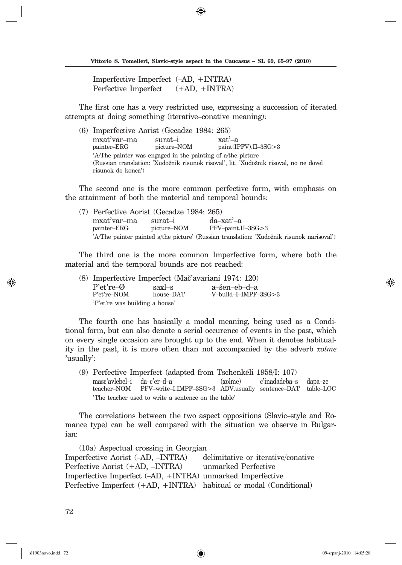Imperfective Imperfect (–AD, +INTRA) Perfective Imperfect  $(+AD, +INTRA)$ 

The first one has a very restricted use, expressing a succession of iterated attempts at doing something (iterative–conative meaning):

(6) Imperfective Aorist (Gecadze 1984: 265) mxat'var–ma surat–i xat'–a paint(IPFV).II–3SG>3 'A/The painter was engaged in the painting of a/the picture (Russian translation: 'Xudožnik risunok risoval', lit. 'Xudožnik risoval, no ne dovel risunok do konca')

The second one is the more common perfective form, with emphasis on the attainment of both the material and temporal bounds:

(7) Perfective Aorist (Gecadze 1984: 265) mxat'var–ma surat–i da–xat'–a painter–ERG picture–NOM PFV–paint.II–3SG>3 'A/The painter painted a/the picture' (Russian translation: 'Xudožnik risunok narisoval')

The third one is the more common Imperfective form, where both the material and the temporal bounds are not reached:

(8) Imperfective Imperfect (Mač'avariani 1974: 120) P'et're–Ø saxl–s a–šen–eb–d–a<br>P'et're–NOM house–DAT V–build–I–IMPF V-build–I–IMPF–3SG>3 'P'et're was building a house'

The fourth one has basically a modal meaning, being used as a Conditional form, but can also denote a serial occurence of events in the past, which on every single occasion are brought up to the end. When it denotes habituality in the past, it is more often than not accompanied by the adverb *xolme* 'usually':

(9) Perfective Imperfect (adapted from Tschenkéli 1958/I: 107) masc'avlebel–i da–c'er–d–a (xolme) c'inadadeba–s dapa–ze teacher–NOM PFV–write–I.IMPF–3SG>3 ADV.usually sentence–DAT table–LOC 'The teacher used to write a sentence on the table'

The correlations between the two aspect oppositions (Slavic–style and Romance type) can be well compared with the situation we observe in Bulgarian:

(10a) Aspectual crossing in Georgian Imperfective Aorist (–AD, –INTRA) delimitative or iterative/conative Perfective Aorist (+AD, –INTRA) unmarked Perfective Imperfective Imperfect (–AD, +INTRA) unmarked Imperfective Perfective Imperfect (+AD, +INTRA) habitual or modal (Conditional)

◈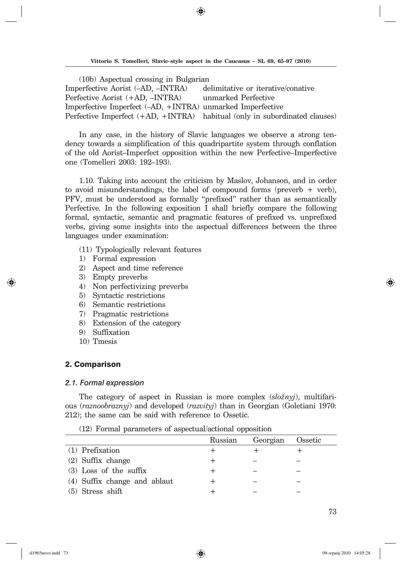◈

(10b) Aspectual crossing in Bulgarian Imperfective Aorist (–AD, –INTRA) delimitative or iterative/conative Perfective Aorist (+AD, –INTRA) unmarked Perfective Imperfective Imperfect (–AD, +INTRA) unmarked Imperfective Perfective Imperfect (+AD, +INTRA) habitual (only in subordinated clauses)

In any case, in the history of Slavic languages we observe a strong tendency towards a simplification of this quadripartite system through conflation of the old Aorist–Imperfect opposition within the new Perfective–Imperfective one (Tomelleri 2003: 192-193).

1.10. Taking into account the criticism by Maslov, Johanson, and in order to avoid misunderstandings, the label of compound forms (preverb  $+$  verb), PFV, must be understood as formally "prefixed" rather than as semantically Perfective. In the following exposition I shall briefly compare the following formal, syntactic, semantic and pragmatic features of prefixed vs. unprefixed verbs, giving some insights into the aspectual differences between the three languages under examination:

- (11) Typologically relevant features
- 1) Formal expression
- 2) Aspect and time reference
- 3) Empty preverbs
- 4) Non perfectivizing preverbs
- 5) Syntactic restrictions
- 6) Semantic restrictions
- 7) Pragmatic restrictions
- 8) Extension of the category
- 9) Suffixation
- 10) Tmesis

#### 2. Comparison

#### *2.1. Formal expression*

The category of aspect in Russian is more complex (*slo`nyj*), multifarious (*raz no o braz nyj*) and developed (*razvityj*) than in Georgian (Goletiani 1970: 212); the same can be said with reference to Ossetic.

(12) Formal parameters of aspectual/actional opposition

|                              | Russian | Georgian | Ossetic |
|------------------------------|---------|----------|---------|
| (1) Prefixation              |         |          |         |
| $(2)$ Suffix change          |         |          |         |
| $(3)$ Loss of the suffix     |         |          |         |
| (4) Suffix change and ablaut |         |          |         |
| $(5)$ Stress shift           |         |          |         |

sl1903novo.indd 73 09-srpanj-2010 14:05:28 9-srpanj-2010 14:05:28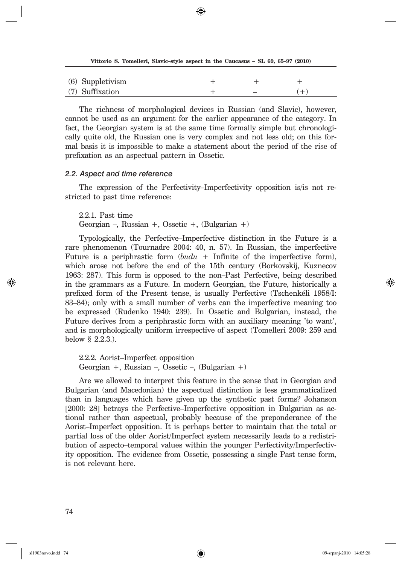|                  | Vittorio S. Tomelleri, Slavic-style aspect in the Caucasus – SL 69, 65–97 (2010) |     |
|------------------|----------------------------------------------------------------------------------|-----|
|                  |                                                                                  |     |
| (6) Suppletivism |                                                                                  |     |
| (7) Suffixation  |                                                                                  | $+$ |

⊕

The richness of morphological devices in Russian (and Slavic), however, can not be used as an argument for the earlier appearance of the category. In fact, the Georgian system is at the same time formally simple but chronologically quite old, the Russian one is very complex and not less old; on this formal basis it is impossible to make a statement about the period of the rise of prefixation as an aspectual pattern in Ossetic.

#### *2.2. Aspect and time reference*

The expression of the Perfectivity–Imperfectivity opposition is/is not restricted to past time reference:

2.2.1. Past time

Georgian –, Russian +, Ossetic +,  $(Bulgarian +)$ 

Typologically, the Perfective–Imperfective distinction in the Future is a rare phenomenon (Tournadre 2004: 40, n. 57). In Russian, the imperfective Future is a periphrastic form  $(budu + Infinite of the imperfective form)$ , which arose not before the end of the 15th century (Borkovskij, Kuznecov 1963: 287). This form is opposed to the non–Past Perfective, being described in the grammars as a Future. In modern Georgian, the Future, historically a prefixed form of the Present tense, is usually Perfective (Tschenkéli 1958/I: 83–84); only with a small number of verbs can the imperfective meaning too be expressed (Rudenko 1940: 239). In Ossetic and Bulgarian, instead, the Future derives from a periphrastic form with an auxiliary meaning 'to want', and is morphologically uniform irrespective of aspect (Tomelleri 2009: 259 and below § 2.2.3.).

2.2.2. Aorist–Imperfect opposition Georgian +, Russian –, Ossetic –, (Bulgarian +)

Are we allowed to interpret this feature in the sense that in Georgian and Bulgarian (and Macedonian) the aspectual distinction is less grammaticalized than in languages which have given up the synthetic past forms? Johanson [2000: 28] betrays the Perfective–Imperfective opposition in Bulgarian as actional rather than aspectual, probably because of the preponderance of the Aorist–Imperfect opposition. It is perhaps better to maintain that the total or partial loss of the older Aorist/Imperfect system necessarily leads to a redistribution of aspecto–temporal values within the younger Perfectivity/Imperfectivity opposition. The evidence from Ossetic, possessing a single Past tense form, is not relevant here.

 $\Leftrightarrow$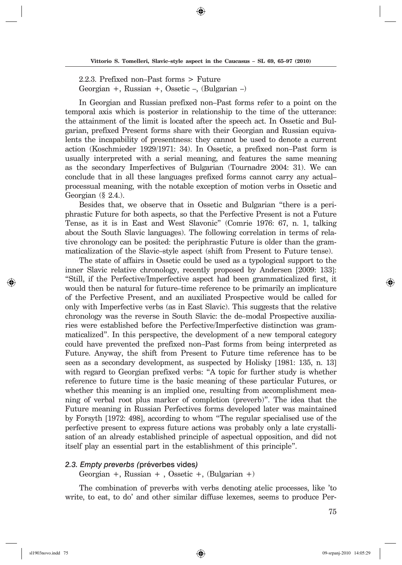⊕

2.2.3. Prefixed non–Past forms > Future Georgian +, Russian +, Ossetic –, (Bulgarian –)

In Georgian and Russian prefixed non–Past forms refer to a point on the tem poral axis which is posterior in relationship to the time of the utterance: the attainment of the limit is located after the speech act. In Ossetic and Bulgarian, prefixed Present forms share with their Georgian and Russian equivalents the incapability of presentness: they cannot be used to denote a current action (Koschmieder 1929/1971: 34). In Ossetic, a prefixed non–Past form is usually interpreted with a serial meaning, and features the same meaning as the secondary Imperfectives of Bulgarian (Tournadre 2004: 31). We can conclude that in all these languages prefixed forms cannot carry any actual– processual meaning, with the notable exception of motion verbs in Ossetic and Georgian (§ 2.4.).

Besides that, we observe that in Ossetic and Bulgarian "there is a periphrastic Future for both aspects, so that the Perfective Present is not a Future Tense, as it is in East and West Slavonic" (Comrie 1976: 67, n. 1, talking about the South Slavic languages). The following correlation in terms of relative chronology can be posited: the periphrastic Future is older than the grammaticalization of the Slavic–style aspect (shift from Present to Future tense).

The state of affairs in Ossetic could be used as a typological support to the in ner Slavic relative chronology, recently proposed by Andersen [2009: 133]: "Still, if the Perfective/Imperfective aspect had been grammaticalized first, it would then be natural for future–time reference to be primarily an implicature of the Perfective Present, and an auxiliated Prospective would be called for only with Imperfective verbs (as in East Slavic). This suggests that the relative chronology was the reverse in South Slavic: the de–modal Prospective auxiliaries were established before the Perfective/Imperfective distinction was grammaticalized". In this perspective, the development of a new temporal category could have prevented the prefixed non–Past forms from being interpreted as Future. Anyway, the shift from Present to Future time reference has to be seen as a secondary development, as suspected by Holisky [1981: 135, n. 13] with regard to Georgian prefixed verbs: "A topic for further study is whether reference to future time is the basic meaning of these particular Futures, or whether this meaning is an implied one, resulting from accomplishment meaning of verbal root plus marker of completion (preverb)". The idea that the Future meaning in Russian Perfectives forms developed later was maintained by Forsyth [1972: 498], according to whom "The regular specialised use of the perfective present to express future actions was probably only a late crystallisation of an already established principle of aspectual opposition, and did not it self play an essential part in the establishment of this principle".

#### *2.3. Empty preverbs (*préverbes vi des*)*

Georgian +, Russian + , Ossetic +,  $(Bulgarian +)$ 

The combination of preverbs with verbs denoting atelic processes, like 'to write, to eat, to do' and other similar diffuse lexemes, seems to produce Per-

↔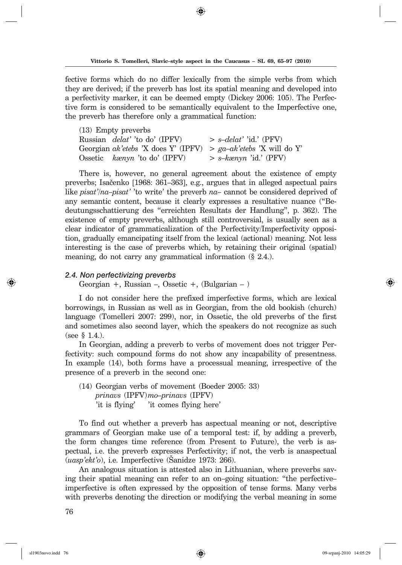fective forms which do no differ lexically from the simple verbs from which they are derived; if the preverb has lost its spatial meaning and developed into a perfectivity marker, it can be deemed empty (Dickey 2006: 105). The Perfective form is considered to be semantically equivalent to the Imperfective one, the preverb has therefore only a grammatical function:

(13) Empty preverbs Russian *delat'* 'to do' (IPFV) > *s–delat'* 'id.' (PFV) Georgian *ak'etebs* 'X does Y' (IPFV) > *ga–ak'etebs* 'X will do Y' Ossetic *kænyn* 'to do' (IPFV) > *s–kænyn* 'id.' (PFV)

There is, however, no general agreement about the existence of empty preverbs; Isačenko [1968: 361–363], e.g., argues that in alleged as pectual pairs like *pisat'*/*na–pisat'* 'to write' the preverb *na*– cannot be considered deprived of any semantic content, because it clearly expresses a resultative nuance ("Bedeutungsschattierung des "erreichten Resultats der Handlung", p. 362). The existence of empty preverbs, although still controversial, is usually seen as a clear indicator of grammaticalization of the Perfectivity/Imperfectivity opposition, gradually emancipating itself from the lexical (actional) meaning. Not less interesting is the case of preverbs which, by retaining their original (spatial) meaning, do not carry any grammatical information  $(\S$  2.4.).

#### *2.4. Non perfectivizing preverbs*

Georgian  $+$ , Russian  $-$ , Ossetic  $+$ , (Bulgarian  $-$  )

I do not consider here the prefixed imperfective forms, which are lexical bor ro wings, in Russian as well as in Georgian, from the old bookish (church) language (Tomelleri 2007: 299), nor, in Ossetic, the old preverbs of the first and sometimes also second layer, which the speakers do not recognize as such (see § 1.4.).

In Georgian, adding a preverb to verbs of movement does not trigger Perfectivity: such compound forms do not show any incapability of presentness. In example (14), both forms have a processual meaning, irrespective of the presence of a preverb in the second one:

(14) Georgian verbs of movement (Boeder 2005: 33)  *prinavs* (IPFV) *mo–prinavs* (IPFV) 'it is flying' 'it comes flying here'

To find out whether a preverb has aspectual meaning or not, descriptive gram mars of Georgian make use of a temporal test: if, by adding a preverb, the form changes time reference (from Present to Future), the verb is aspectual, i.e. the preverb expresses Perfectivity; if not, the verb is anaspectual (*uasp'ekt'o*), i.e. Imperfective (Sanidze 1973: 266).

An analogous situation is attested also in Lithuanian, where preverbs saving their spatial meaning can refer to an on–going situation: "the perfective– imperfective is often expressed by the opposition of tense forms. Many verbs with preverbs denoting the direction or modifying the verbal meaning in some

76

↔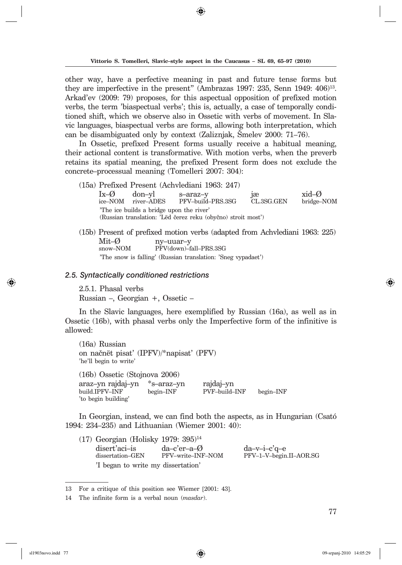other way, have a perfective meaning in past and future tense forms but they are imperfective in the present" (Ambrazas 1997: 235, Senn 1949:  $406$ <sup>13</sup>. Arkad'ev (2009: 79) proposes, for this aspectual opposition of prefixed motion verbs, the term 'biaspectual verbs'; this is, actually, a case of temporally conditioned shift, which we observe also in Ossetic with verbs of movement. In Slavic languages, biaspectual verbs are forms, allowing both interpretation, which can be disambiguated only by context (Zaliznjak, Smelev 2000: 71–76).

In Ossetic, prefixed Present forms usually receive a habitual meaning, their actional content is transformative. With motion verbs, when the preverb retains its spatial meaning, the prefixed Present form does not exclude the concrete–processual meaning (Tomelleri 2007: 304):

- (15a) Prefixed Present (Achvlediani 1963: 247) Ix–Ø don–yl s–araz–y jæ xid–Ø ice–NOM river–ADES PFV–build–PRS.3SG CL.3SG.GEN bridge–NOM 'The ice builds a bridge upon the river' (Russian translation: 'Lëd čerez reku (obyčno) stroit most')
- (15b) Present of prefixed motion verbs (adapted from Achvlediani 1963: 225) Mit–Ø ny–uuar–y<br>snow–NOM PFV(down)–f PFV(down)-fall-PRS.3SG 'The snow is falling' (Russian translation: 'Sneg vypadaet')

#### *2.5. Syntactically conditioned restrictions*

2.5.1. Phasal verbs Russian –, Georgian +, Ossetic –

In the Slavic languages, here exemplified by Russian (16a), as well as in Ossetic (16b), with phasal verbs only the Imperfective form of the infinitive is allowed:

(16a) Russian on načnët pisat' (IPFV)/\*napisat' (PFV) 'he'll begin to write'

(16b) Ossetic (Stojnova 2006) araz–yn rajdaj–yn \*s–araz–yn rajdaj–yn build.IPFV–INF begin–INF PVF–build–INF begin–INF 'to begin building'

In Georgian, instead, we can find both the aspects, as in Hungarian (Csató 1994: 234–235) and Lithuanian (Wiemer 2001: 40):

(17) Georgian (Holisky 1979: 395)14 disert'aci–is da–c'er–a–Ø da–v–i–c'q–e<br>dissertation–GEN PFV–write–INF–NOM PFV–1–V–begin PFV–1–V–begin.II–AOR.SG 'I began to write my dissertation'

<sup>13</sup> For a critique of this position see Wiemer [2001: 43].

<sup>14</sup> The infinite form is a verbal noun (*masdar*).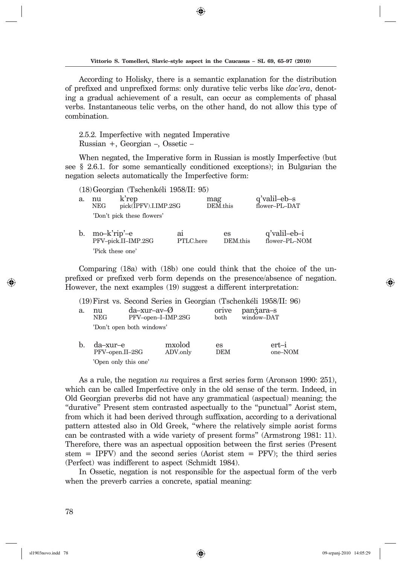◈

According to Holisky, there is a semantic explanation for the distribution of pre fixed and unprefixed forms: only durative telic verbs like *dac'era*, denoting a gradual achievement of a result, can occur as complements of phasal verbs. Instantaneous telic verbs, on the other hand, do not allow this type of combination.

2.5.2. Imperfective with negated Imperative Russian +, Georgian –, Ossetic –

When negated, the Imperative form in Russian is mostly Imperfective (but see § 2.6.1. for some semantically conditioned exceptions); in Bulgarian the negation selects automatically the Imperfective form:

(18) Georgian (Tschenkéli 1958/II: 95)

| a. | nu<br><b>NEG</b> | k'rep<br>pick(IPFV).I.IMP.2SG |                             | mag<br>DEM.this | q'valil-eb-s<br>flower-PL-DAT |
|----|------------------|-------------------------------|-----------------------------|-----------------|-------------------------------|
|    |                  | 'Don't pick these flowers'    |                             |                 |                               |
| b. | mo-k'rip'-e      | PFV-pick.II-IMP.2SG           | a <sub>1</sub><br>PTLC.here | es<br>DEM this  | q'valil-eb-i<br>flower-PL-NOM |
|    |                  | 'Pick these one'              |                             |                 |                               |

Comparing (18a) with (18b) one could think that the choice of the unprefixed or prefixed verb form depends on the presence/absence of negation. However, the next examples (19) suggest a different interpretation:

|    |                             |                                                 | $(19)$ First vs. Second Series in Georgian (Tschenkéli 1958/II: 96) |                  |                         |                |
|----|-----------------------------|-------------------------------------------------|---------------------------------------------------------------------|------------------|-------------------------|----------------|
| a. | nu<br><b>NEG</b>            | $da$ -xur-av- $\emptyset$<br>PFV-open-I-IMP.2SG |                                                                     | orive<br>both    | panžara-s<br>window-DAT |                |
|    |                             | 'Don't open both windows'                       |                                                                     |                  |                         |                |
| b. | da–xur–e<br>PFV-open.II-2SG |                                                 | mxolod<br>ADV.only                                                  | es<br><b>DEM</b> |                         | ert<br>one-NOM |

'Open only this one'

As a rule, the negation *nu* requires a first series form (Aronson 1990: 251), which can be called Imperfective only in the old sense of the term. Indeed, in Old Georgian preverbs did not have any grammatical (aspectual) meaning; the "durative" Present stem contrasted aspectually to the "punctual" Aorist stem, from which it had been derived through suffixation, according to a derivational pattern attested also in Old Greek, "where the relatively simple aorist forms can be contrasted with a wide variety of present forms" (Armstrong 1981: 11). Therefore, there was an aspectual opposition between the first series (Present stem = IPFV) and the second series (Aorist stem = PFV); the third series (Perfect) was indifferent to aspect (Schmidt 1984).

In Ossetic, negation is not responsible for the aspectual form of the verb when the preverb carries a concrete, spatial meaning: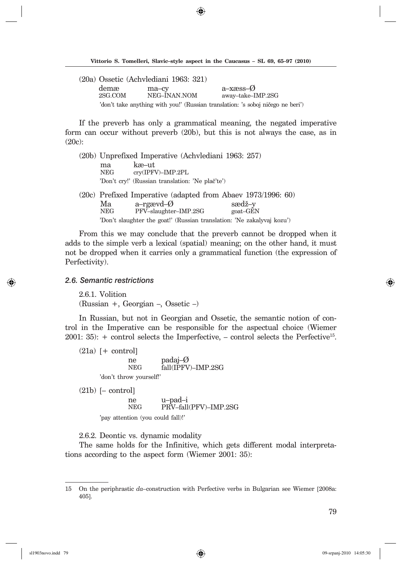◈

|         | (20a) Ossetic (Achylediani 1963: 321) |                                                                                 |
|---------|---------------------------------------|---------------------------------------------------------------------------------|
| demæ    | ma-cy                                 | a-xæss- $\emptyset$                                                             |
| 2SG COM | NEG-INAN NOM                          | away-take-IMP.2SG                                                               |
|         |                                       | 'don't take anything with you!' (Russian translation: 's soboj ničego ne beri') |

If the preverb has only a grammatical meaning, the negated imperative form can occur without preverb (20b), but this is not always the case, as in (20c):

(20b) Unprefixed Imperative (Achvlediani 1963: 257) ma kæ–ut<br>NEG crv(IPF) cry(IPFV)–IMP.2PL 'Don't cry!' (Russian translation: 'Ne plač'te')  $(20c)$  Prefixed Imperative (adapted from Abaev 1973/1996: 60)

|     | $\alpha$ and $\alpha$ interference $\alpha$ in $\alpha$ is $\alpha$ in $\alpha$ in $\alpha$ is $\alpha$ is $\alpha$ . |          |
|-----|-----------------------------------------------------------------------------------------------------------------------|----------|
| Мa  | a-rgævd-Ø                                                                                                             | sædž–v   |
| NEG | PFV-slaughter-IMP.2SG                                                                                                 | goat-GEN |
|     | 'Don't slaughter the goat!' (Russian translation: 'Ne zakalyvaj kozu')                                                |          |

From this we may conclude that the preverb cannot be dropped when it adds to the simple verb a lexical (spatial) meaning; on the other hand, it must not be dropped when it carries only a grammatical function (the expression of Perfectivity).

### *2.6. Semantic restrictions*

2.6.1. Volition (Russian +, Georgian –, Ossetic –)

In Russian, but not in Georgian and Ossetic, the semantic notion of control in the Imperative can be responsible for the aspectual choice (Wiemer 2001: 35):  $+$  control selects the Imperfective,  $-$  control selects the Perfective<sup>15</sup>.

 $(21a)$  [+ control] ne padaj–Ø<br>NEG fall(IPFV  $fall(\text{IPFV})-IMP.2SG$ 'don't throw yourself!'

 $(21b)$  [– control] ne u–pad–i<br>NEG PRV–fall PRV–fall(PFV)–IMP.2SG 'pay attention (you could fall)!'

2.6.2. Deontic vs. dynamic modality

The same holds for the Infinitive, which gets different modal interpretations according to the aspect form (Wiemer 2001: 35):

⇔

<sup>15</sup> On the periphrastic *da*–construction with Perfective verbs in Bulgarian see Wiemer [2008a: 405].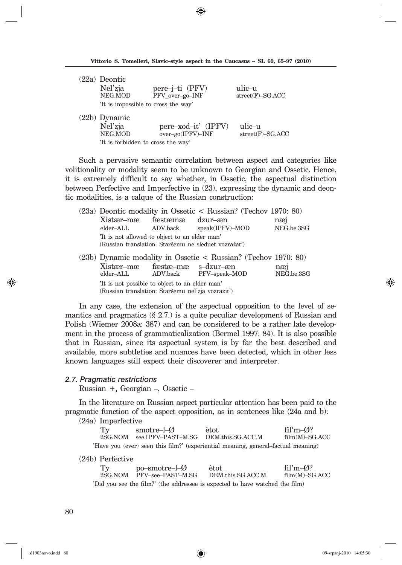|  |  |  | Vittorio S. Tomelleri, Slavic–style aspect in the Caucasus – SL 69, 65–97 (2010) |  |  |  |  |  |  |  |  |
|--|--|--|----------------------------------------------------------------------------------|--|--|--|--|--|--|--|--|
|--|--|--|----------------------------------------------------------------------------------|--|--|--|--|--|--|--|--|

⊕

| $(22a)$ Deontic                     |                     |                              |
|-------------------------------------|---------------------|------------------------------|
| Nel'zja<br>NEG.MOD                  | pere-j-ti (PFV)     | ulic–u<br>$street(F)-SG.ACC$ |
|                                     | PFV over-go-INF     |                              |
| 'It is impossible to cross the way' |                     |                              |
| $(22b)$ Dynamic                     |                     |                              |
| Nel'zja                             | pere-xod-it' (IPFV) | ulic-u                       |
| NEG.MOD                             | over-go(IPFV)-INF   | $street(F)-SG.ACC$           |
| 'It is forbidden to cross the way'  |                     |                              |

Such a pervasive semantic correlation between aspect and categories like volitionality or modality seem to be unknown to Georgian and Ossetic. Hence, it is extremely difficult to say whether, in Ossetic, the aspectual distinction between Perfective and Imperfective in  $(23)$ , expressing the dynamic and deontic modalities, is a calque of the Russian construction:

|                                                                                                    |                                                                                                      |          | $(23a)$ Deontic modality in Ossetic < Russian? (Techov 1970: 80) |                   |  |  |  |
|----------------------------------------------------------------------------------------------------|------------------------------------------------------------------------------------------------------|----------|------------------------------------------------------------------|-------------------|--|--|--|
|                                                                                                    | Xistær-mæ                                                                                            | fæstæmæ  | dzur–æn                                                          | næi               |  |  |  |
|                                                                                                    | elder–ALL                                                                                            | ADV.back | speak(IPFV)-MOD                                                  | NEG.be.3SG        |  |  |  |
|                                                                                                    | 'It is not allowed to object to an elder man'<br>(Russian translation: Staršemu ne sleduet vozražať) |          |                                                                  |                   |  |  |  |
|                                                                                                    |                                                                                                      |          |                                                                  |                   |  |  |  |
|                                                                                                    |                                                                                                      |          | $(23b)$ Dynamic modality in Ossetic < Russian? (Techov 1970: 80) |                   |  |  |  |
|                                                                                                    | Xistær-mæ fæstæ-mæ s-dzur-æn<br>elder–ALL                                                            |          | ADV.back PFV-speak-MOD                                           | næi<br>NEG.be.3SG |  |  |  |
| 'It is not possible to object to an elder man'<br>(Russian translation: Staršemu nel'zja vozraziť) |                                                                                                      |          |                                                                  |                   |  |  |  |

In any case, the extension of the aspectual opposition to the level of semantics and pragmatics (§ 2.7.) is a quite peculiar development of Russian and Polish (Wiemer 2008a: 387) and can be considered to be a rather late development in the process of grammaticalization (Bermel 1997: 84). It is also possible that in Russian, since its aspectual system is by far the best described and available, more subtleties and nuances have been detected, which in other less known languages still expect their discoverer and interpreter.

#### *2.7. Pragmatic restrictions*

Russian +, Georgian –, Ossetic –

In the literature on Russian aspect particular attention has been paid to the pragmatic function of the aspect opposition, as in sentences like (24a and b):

(24a) Imperfective

| Ty | smotre-l- $\emptyset$                                                             | ètot | fil'm $-\omega$ ? |
|----|-----------------------------------------------------------------------------------|------|-------------------|
|    | 2SG NOM see IPFV-PAST-M SG DEM this SG ACC M                                      |      | film(M)–SG.ACC    |
|    | 'Have you (ever) seen this film?' (experiential meaning, general-factual meaning) |      |                   |

### (24b) Perfective

| Ty | $po$ -smotre-l- $\emptyset$ | ètot                                                                         | fil'm $-\varnothing$ ? |
|----|-----------------------------|------------------------------------------------------------------------------|------------------------|
|    | 2SG.NOM PFV-see-PAST-M.SG   | DEM.this.SG.ACC.M                                                            | film(M)–SG.ACC         |
|    |                             | 'Did you see the film?' (the addressee is expected to have watched the film) |                        |

 $\Leftrightarrow$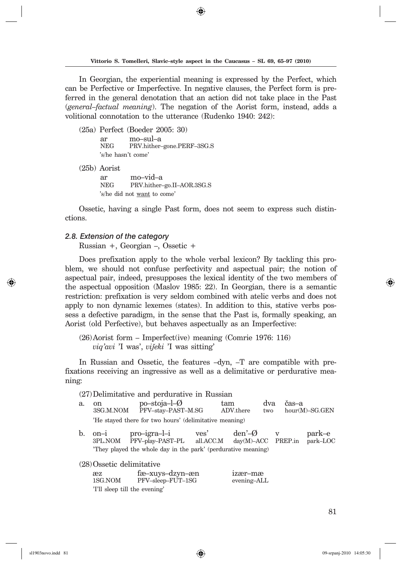◈

In Georgian, the experiential meaning is expressed by the Perfect, which can be Perfective or Imperfective. In negative clauses, the Perfect form is preferred in the general denotation that an action did not take place in the Past (*general-factual meaning*). The negation of the Aorist form, instead, adds a volitional connotation to the utterance (Rudenko 1940: 242):

(25a) Perfect (Boeder 2005: 30) ar mo–sul–a PRV.hither–gone.PERF–3SG.S 's/he hasn't come'

(25b) Aorist

ar mo–vid–a<br>NEG PRV hither-PRV.hither-go.II-AOR.3SG.S 's/he did not want to come'

Ossetic, having a single Past form, does not seem to express such distinctions.

#### *2.8. Extension of the category*

Russian +, Georgian –, Ossetic +

Does prefixation apply to the whole verbal lexicon? By tackling this problem, we should not confuse perfectivity and aspectual pair; the notion of as pectual pair, indeed, presupposes the lexical identity of the two members of the aspectual opposition (Maslov 1985: 22). In Georgian, there is a semantic restriction: prefixation is very seldom combined with atelic verbs and does not apply to non dynamic lexemes (states). In addition to this, stative verbs possess a defective paradigm, in the sense that the Past is, formally speaking, an Aorist (old Perfective), but behaves aspectually as an Imperfective:

(26) Aorist form – Imperfect(ive) meaning (Comrie 1976: 116) *viq'avi* 'I was', *vijeki* 'I was sitting'

In Russian and Ossetic, the features –dyn, –T are compatible with prefixations re ceiving an ingressive as well as a delimitative or perdurative meaning:

|    | $(27)$ Delimitative and perdurative in Russian         |                                                                                                                         |      |                                        |              |       |                    |  |
|----|--------------------------------------------------------|-------------------------------------------------------------------------------------------------------------------------|------|----------------------------------------|--------------|-------|--------------------|--|
| a. | <sub>on</sub>                                          | $po$ -stoja-l- $\emptyset$<br>3SG.M.NOM PFV-stay-PAST-M.SG                                                              |      | tam<br>ADV.there<br>two                |              | čas–a | $hour(M)-SG.GEN$   |  |
|    | 'He stayed there for two hours' (delimitative meaning) |                                                                                                                         |      |                                        |              |       |                    |  |
| b. |                                                        | on-i pro-igra-l-i<br>3PL.NOM PFV-play-PAST-PL all.ACC.M<br>They played the whole day in the park' (perdurative meaning) | ves' | den'– <i>Ø</i><br>$day(M)-ACC$ PREP.in | $\mathbf{V}$ |       | park–e<br>park-LOC |  |
|    |                                                        |                                                                                                                         |      |                                        |              |       |                    |  |

(28) Ossetic delimitative

| æz      | fæ–xuys–dzyn–æn               | 1zær–mæ     |
|---------|-------------------------------|-------------|
| 1SG.NOM | PFV-sleep-FUT-1SG             | evening-ALL |
|         | 'I'll sleep till the evening' |             |

81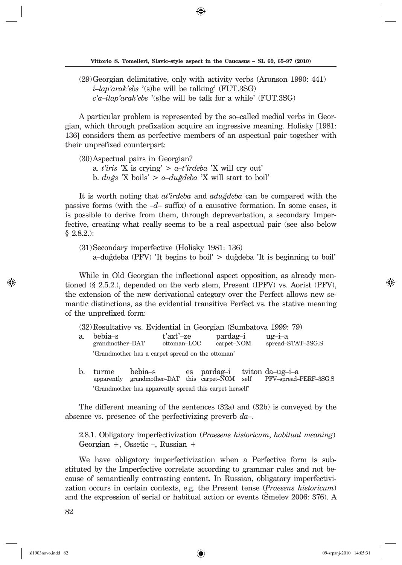(29) Georgian delimitative, only with activity verbs (Aronson 1990: 441)  *i–lap'arak'ebs* '(s)he will be talking' (FUT.3SG)  *c'a–ilap'arak'ebs* '(s)he will be talk for a while' (FUT.3SG)

A particular problem is represented by the so–called medial verbs in Georgian, which through prefixation acquire an ingressive meaning. Holisky [1981: 136] considers them as perfective members of an aspectual pair together with their unprefixed counterpart:

(30) Aspectual pairs in Georgian? a. *t'iris* 'X is crying' > *a–t'irdeba* 'X will cry out' b. *duNs* 'X boils' > *a–duNdeba* 'X will start to boil'

It is worth noting that *at'irdeba* and *adug*<sup>deba</sup> can be compared with the passive forms (with the  $-d$ – suffix) of a causative formation. In some cases, it is possible to derive from them, through depreverbation, a secondary Imperfective, creating what really seems to be a real aspectual pair (see also below § 2.8.2.):

(31) Secondary imperfective (Holisky 1981: 136) a–duğdeba (PFV) 'It begins to boil'  $>$  duğdeba 'It is beginning to boil'

While in Old Georgian the inflectional aspect opposition, as already mentioned  $(\S 2.5.2)$ , depended on the verb stem, Present (IPFV) vs. Aorist (PFV), the extension of the new derivational category over the Perfect allows new semantic distinctions, as the evidential transitive Perfect vs. the stative meaning of the unprefixed form:

(32) Resultative vs. Evidential in Georgian (Sumbatova 1999: 79)

a. bebia–s t'axt'–ze pardag–i ug–i–a grandmother–DAT 'Grandmother has a carpet spread on the ottoman'

b. turme bebia–s es pardag–i tviton da–ug–i–a<br>apparently grandmother–DAT this carpet–NOM self PFV–spread–PERF–3SG.S apparently grandmother–DAT this carpet–NOM self 'Grandmother has apparently spread this carpet herself'

The different meaning of the sentences (32a) and (32b) is conveyed by the absence vs. presence of the perfectivizing preverb  $da$ -

2.8.1. Obligatory imperfectivization (*Praesens historicum*, *habitual meaning*) Georgian +, Ossetic –, Russian +

We have obligatory imperfectivization when a Perfective form is substituted by the Imperfective correlate according to grammar rules and not because of semantically contrasting content. In Russian, obligatory imperfectivization occurs in certain contexts, e.g. the Present tense (Praesens historicum) and the expression of serial or habitual action or events (Smelev 2006: 376). A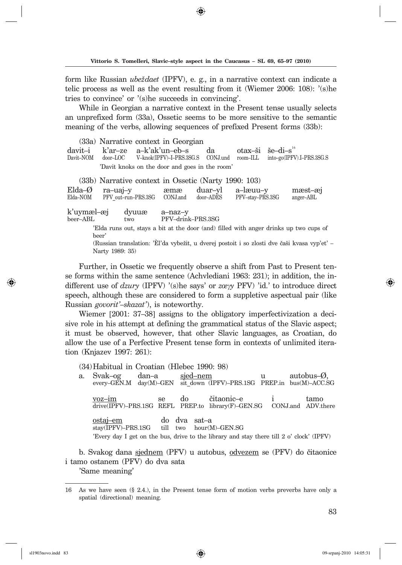form like Rus sian *u be` da et* (IPFV), e. g., in a narrative context can indicate a telic process as well as the event resulting from it (Wiemer 2006:  $108$ ): '(s)he tries to convince' or '(s)he succeeds in convincing'.

While in Georgian a narrative context in the Present tense usually selects an un prefixed form (33a), Ossetic seems to be more sensitive to the semantic meaning of the verbs, allowing sequences of prefixed Present forms (33b):

(33a) Narrative context in Georgian davit–i k'ar–ze a–k'ak'un–eb–s da otax–ši še–di–s<sup>16</sup><br>Davit–NOM door–LOC V–knok(IPFV)–I–PRS.3SG.S CONJ.und room–ILL into–go(IPFV into–go(IPFV).I–PRS.3SG.S 'Davit knoks on the door and goes in the room'

|                                                                                             |                                                                                               | (33b) Narrative context in Ossetic (Narty 1990: 103) |                              |                      |                              |                      |
|---------------------------------------------------------------------------------------------|-----------------------------------------------------------------------------------------------|------------------------------------------------------|------------------------------|----------------------|------------------------------|----------------------|
| $Elda-Ø$<br>Elda-NOM                                                                        | ra-uaj-y                                                                                      | PFV out-run-PRS.3SG                                  | æmæ<br>CONJ.and              | duar-yl<br>door–ADES | a-læuu-y<br>PFV-stay-PRS.3SG | mæst-æi<br>anger-ABL |
| k'uymæl-æj<br>beer-ABL                                                                      |                                                                                               | dyuuæ<br>two                                         | a-naz-y<br>PFV-drink-PRS.3SG |                      |                              |                      |
|                                                                                             | Elda runs out, stays a bit at the door (and) filled with anger drinks up two cups of<br>beer' |                                                      |                              |                      |                              |                      |
| (Russian translation: 'Èl'da vybežit, u dverej postoit i so zlosti dve čaši kvasa vyp'et' - |                                                                                               |                                                      |                              |                      |                              |                      |
|                                                                                             | Narty 1989: 35)                                                                               |                                                      |                              |                      |                              |                      |

Further, in Ossetic we frequently observe a shift from Past to Present tense forms within the same sentence (Achvlediani 1963: 231); in addition, the indifferent use of *dzury* (IPFV) '(s)he says' or *zœy* PFV) 'id.' to introduce direct speech, although these are considered to form a suppletive aspectual pair (like Russian *govorit'–skazat'*), is noteworthy.

Wiemer [2001: 37–38] assigns to the obligatory imperfectivization a decisive role in his attempt at defining the grammatical status of the Slavic aspect; it must be observed, however, that other Slavic languages, as Croatian, do allow the use of a Perfective Present tense form in contexts of unlimited iteration (Knjazev 1997: 261):

(34) Habitual in Croatian (Hlebec 1990: 98)

a. Svak–og dan–a <u>sjed–nem</u> u autobus–Ø,<br>every–GEN.M day(M)–GEN sit-down (IPFV)–PRS.1SG PREP.in bus(M)–ACC.  $s$ it down (IPFV)–PRS.1SG PREP.in bus(M)–ACC.SG voz–im se do čitaonic–e i tamo<br>drive(IPFV)–PRS.1SG REFL PREP.to library(F)–GEN.SG CONJ.and ADV.there  $drive(IPFV)-PRS.1SG$  REFL PREP.to library(F)-GEN.SG ostaj–em do dva sat–a<br>stay(IPFV)–PRS.1SG till two hour(M)–GEN.SG  $stay$ ( $IPFV$ )– $PRS.1SG$ 'Every day I get on the bus, drive to the library and stay there till 2 o' clock' (IPFV)

b. Svakog dana sjednem (PFV) u autobus, odvezem se (PFV) do čitaonice i tamo ostanem (PFV) do dva sata

'Same meaning'

<sup>16</sup> As we have seen (§ 2.4.), in the Present tense form of motion verbs preverbs have only a spatial (directional) meaning.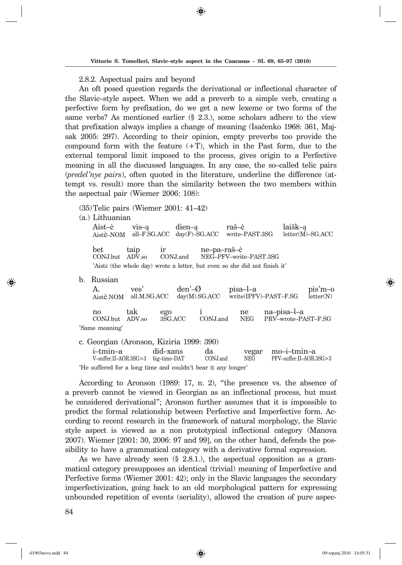2.8.2. Aspectual pairs and beyond

An oft posed question regards the derivational or inflectional character of the Slavic–style aspect. When we add a preverb to a simple verb, creating a perfective form by prefixation, do we get a new lexeme or two forms of the same verbs? As mentioned earlier  $(\S 2.3.)$ , some scholars adhere to the view that prefixation always implies a change of meaning (Isačenko 1968: 361, Majsak 2005: 297). According to their opinion, empty preverbs too provide the compound form with the feature  $(+T)$ , which in the Past form, due to the external temporal limit imposed to the process, gives origin to a Perfective meaning in all the discussed languages. In any case, the so-called telic pairs (*predel'nye pairs*), often quoted in the literature, underline the difference (attempt vs. result) more than the similarity between the two members within the aspectual pair (Wiemer 2006: 108):

(35) Telic pairs (Wiemer 2001: 41–42)

(a.) Lithuanian

Aist–ė vis–ą dien–ą raš–ė laišk–ą Aistė–NOM all–F.SG.ACC day(F)–SG.ACC write–PAST.3SG letter(M)–SG.ACC bet taip ir ne–pa–raš–ė<br>CON-Lbut ADV-so CON-Land NEG–PFV–wri NEG-PFV-write-PAST.3SG 'Aistė (the whole day) wrote a letter, but even so she did not finish it'

b. Russian

| А.<br>Aistė.NOM                         | ves'<br>all.M.SG.ACC | $den'–\emptyset$ | $dav(M)$ . SG. ACC | pisa-l-a         | write(IPFV)-PAST-F.SG              | pis'm-o<br>$\text{letter}(N)$ |
|-----------------------------------------|----------------------|------------------|--------------------|------------------|------------------------------------|-------------------------------|
| no<br>CONJ.but ADV.so<br>'Same meaning' | tak                  | ego<br>3SG ACC   | CONJ.and           | ne<br><b>NEG</b> | na–pisa–l–a<br>PRV-wrote-PAST-F.SG |                               |

|                                                                                  | c. Georgian (Aronson, Kiziria 1999: 390)                      |  |    |  |                   |  |
|----------------------------------------------------------------------------------|---------------------------------------------------------------|--|----|--|-------------------|--|
|                                                                                  | i-tmin-a did-xans                                             |  | da |  | yegar mo-i-tmin-a |  |
| PFV-suffer.II-AOR.3SG>3<br>V-suffer.II-AOR.3SG>3 big-time-DAT<br>CONJ.and<br>NEG |                                                               |  |    |  |                   |  |
|                                                                                  | 'He suffered for a long time and couldn't bear it any longer' |  |    |  |                   |  |

According to Aronson (1989: 17, n. 2), "the presence vs. the absence of a pre verb cannot be viewed in Georgian as an inflectional process, but must be considered derivational"; Aronson further assumes that it is impossible to predict the formal relationship between Perfective and Imperfective form. According to recent research in the framework of natural morphology, the Slavic style aspect is viewed as a non prototypical inflectional category (Manova  $2007$ ). Wiemer  $[2001: 30, 2006: 97$  and 99, on the other hand, defends the possibility to have a grammatical category with a derivative formal expression.

As we have already seen (§ 2.8.1.), the aspectual opposition as a grammatical category presupposes an identical (trivial) meaning of Imperfective and Perfective forms (Wiemer 2001:  $42$ ); only in the Slavic languages the secondary im perfectivization, going back to an old morphological pattern for expressing unbounded repetition of events (seriality), allowed the creation of pure as pec-

84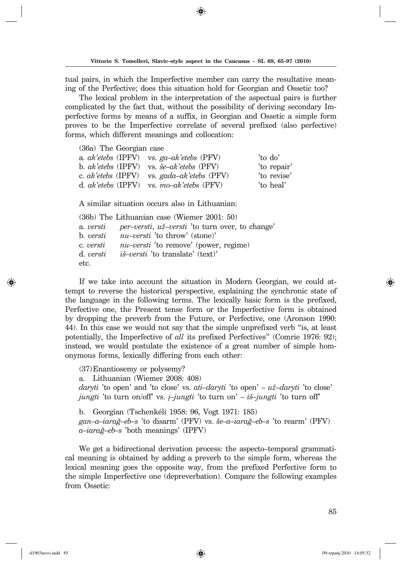tual pairs, in which the Imperfective member can carry the resultative meaning of the Perfective; does this situation hold for Georgian and Ossetic too?

The lexical problem in the interpretation of the aspectual pairs is further complicated by the fact that, without the possibility of deriving secondary Imperfective forms by means of a suffix, in Georgian and Ossetic a simple form proves to be the Imperfective correlate of several prefixed (also per fective) forms, which different meanings and collocation:

|  | (36a) The Georgian case |                                                      |             |
|--|-------------------------|------------------------------------------------------|-------------|
|  |                         | a. $ak'etebs$ (IPFV) vs. $ga-ak'etebs$ (PFV)         | 'to do'     |
|  |                         | b. $ak'etebs$ (IPFV) vs. $\breve{s}e-ak'etebs$ (PFV) | 'to repair' |
|  |                         | c. $ak'etebs$ (IPFV) vs. $gada-ak'etebs$ (PFV)       | 'to revise' |
|  |                         | d. $ak'etebs$ (IPFV) vs. mo-ak'etebs (PFV)           | 'to heal'   |

A similar situation occurs also in Lithuanian:

(36b) The Lithuanian case (Wiemer 2001: 50) a. *versti per–versti*, *u`–versti* 'to turn over, to change' b. *versti nu–versti* 'to throw' (stone)' c. *versti nu–versti* 'to remove' (power, regime) d. *versti i{–versti* 'to translate' (text)' etc.

If we take into account the situation in Modern Georgian, we could attempt to reverse the historical perspective, explaining the synchronic state of the language in the following terms. The lexically basic form is the prefixed, Perfective one, the Present tense form or the Imperfective form is obtained by dropping the preverb from the Future, or Perfective, one (Aronson 1990: 44). In this case we would not say that the simple unprefixed verb "is, at least potentially, the Imperfective of *all* its prefixed Perfectives" (Comrie 1976: 92); instead, we would postulate the existence of a great number of simple homonymous forms, lexically differing from each other:

(37) Enantiosemy or polysemy? a. Lithuanian (Wiemer 2008: 408) *daryti* 'to open' and 'to close' vs. *ati–daryti* 'to open' – *u`–daryti* 'to close' *jungti* 'to turn on/off' vs. *į–jungti* 'to turn on' – *i{–jungti* 'to turn off'

b. Georgian (Tschenkéli 1958: 96, Vogt 1971: 185) *gan–a–iaraN–eb–s* 'to disarm' (PFV) vs. *{e–a–iaraN–eb–s* 'to rearm' (PFV) *a–iaraN–eb–s* 'both meanings' (IPFV)

We get a bidirectional derivation process: the aspecto–temporal grammatical meaning is obtained by adding a preverb to the simple form, whereas the lexical meaning goes the opposite way, from the prefixed Perfective form to the sim ple Im perfective one (depreverbation). Compare the following examples from Ossetic: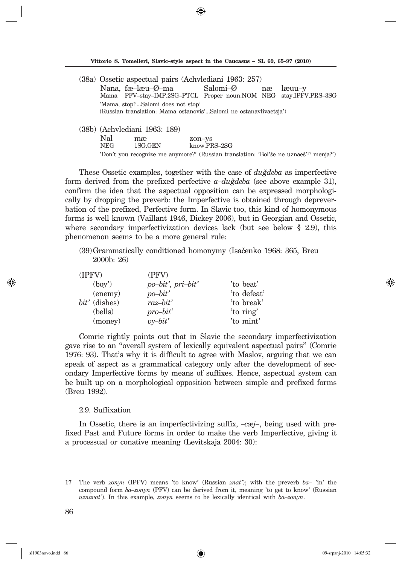◈

- (38a) Ossetic aspectual pairs (Achvlediani 1963: 257) Nana, fæ–læu–Ø–ma Salomi–Ø næ læuu–y<br>Mama PFV–stay–IMP.2SG–PTCL Proper noun.NOM NEG stay.IPFV Proper noun.NOM NEG stay.IPFV.PRS-3SG 'Mama, stop!'...Salomi does not stop' (Russian translation: Mama ostanovis'...Salomi ne ostanavlivaetsja')
- (38b) (Achvlediani 1963: 189) Nal mæ zon–ys<br>NEG 1SG.GEN know.PI know.PRS-2SG 'Don't you recognize me anymore?' (Russian translation: 'Bol'še ne uznaeš<sup>'17</sup> menja?')

These Ossetic examples, together with the case of *du<i>Adeba* as imperfective form derived from the prefixed perfective  $a$ -du*<i>z*deba (see above example 31), confirm the idea that the aspectual opposition can be expressed morphologically by dropping the preverb: the Imperfective is obtained through depreverbation of the prefixed, Perfective form. In Slavic too, this kind of homonymous forms is well known (Vaillant 1946, Dickey 2006), but in Georgian and Ossetic, where secondary imperfectivization devices lack (but see below  $\S$  2.9), this phenomenon seems to be a more general rule:

(39) Grammatically conditioned homonymy (Isačenko 1968: 365, Breu 2000b: 26)

| (IPFV)          | (PFV)              |             |
|-----------------|--------------------|-------------|
| (bov')          | po-bit', pri-bit'  | 'to beat'   |
| (enemy)         | $po-bit'$          | 'to defeat' |
| $bit'$ (dishes) | raz-bit'           | 'to break'  |
| (bells)         | $pro-bit'$         | 'to ring'   |
| (money)         | $v$ <i>y</i> -bit' | 'to mint'   |

Comrie rightly points out that in Slavic the secondary imperfectivization gave rise to an "over all system of lexically equivalent aspectual pairs" (Comrie 1976: 93). That's why it is difficult to agree with Maslov, arguing that we can speak of aspect as a grammatical category only after the development of secondary Imperfective forms by means of suffixes. Hence, aspectual system can be built up on a morphological opposition between simple and prefixed forms (Breu 1992).

### 2.9. Suffixation

In Ossetic, there is an imperfectivizing suffix, –*cæj–*, being used with prefixed Past and Future forms in order to make the verb Imperfective, giving it a processual or conative meaning (Levitskaja 2004: 30):

sl1903novo.indd 86 09-srpanj-2010 14:05:32

<sup>17</sup> The verb *zonyn* (IPFV) means 'to know' (Russian *znat'*); with the preverb *ba–* 'in' the com pound form *ba–zonyn* (PFV) can be derived from it, meaning 'to get to know' (Russian *uznavat'*). In this example, *zonyn* seems to be lexically identical with *ba–zonyn*.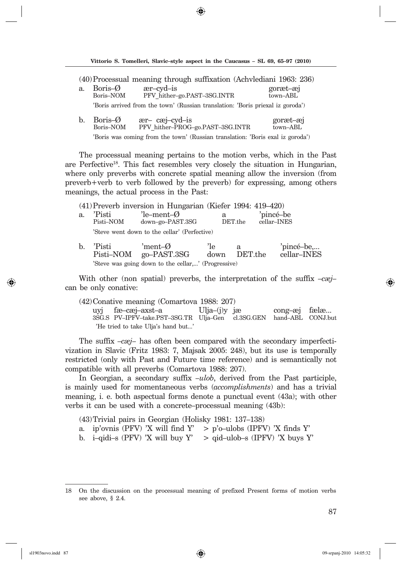◈

|                                                                                |                      | (40) Processual meaning through suffixation (Achylediani 1963: 236)            |                      |  |  |
|--------------------------------------------------------------------------------|----------------------|--------------------------------------------------------------------------------|----------------------|--|--|
| a.                                                                             | Boris-Ø<br>Boris-NOM | $ær-cyd-is$<br>PFV hither-go.PAST-3SG.INTR                                     | goræt-æj<br>town-ABL |  |  |
|                                                                                |                      | 'Boris arrived from the town' (Russian translation: 'Boris priexal iz goroda') |                      |  |  |
| b.                                                                             | Boris-Ø<br>Boris-NOM | ær-cæj-cyd-is<br>PFV hither-PROG-go.PAST-3SG.INTR                              | goræt-æj<br>town-ABL |  |  |
| 'Boris was coming from the town' (Russian translation: 'Boris exal iz goroda') |                      |                                                                                |                      |  |  |

The processual meaning pertains to the motion verbs, which in the Past are Perfective<sup>18</sup>. This fact resembles very closely the situation in Hungarian, where only preverbs with concrete spatial meaning allow the inversion (from preverb+verb to verb followed by the preverb) for expressing, among others meanings, the actual process in the Past:

|       |                     | $(41)$ Preverb inversion in Hungarian (Kiefer 1994: 419–420) |                        |                     |                           |
|-------|---------------------|--------------------------------------------------------------|------------------------|---------------------|---------------------------|
| a.    | 'Pisti<br>Pisti–NOM | $'$ le-ment- $\emptyset$<br>down-go-PAST.3SG                 | a                      | $\mathrm{DET}.$ the | 'pincé-be<br>cellar-INES  |
|       |                     | 'Steve went down to the cellar' (Perfective)                 |                        |                     |                           |
| $b$ . | 'Pisti              | 'ment- $\varnothing$<br>Pisti-NOM go-PAST.3SG                | <sup>'le</sup><br>down | a<br>DET.the        | 'pincé-be,<br>cellar-INES |

'Steve was going down to the cellar,...' (Progressive)

With other (non spatial) preverbs, the interpretation of the suffix *–cæj–*  can be only conative:

(42) Conative meaning (Comartova 1988: 207) uyj fæ–cæj–axst–a Ulja–(j)y jæ cong–æj fælæ...<br>3SG.S PV–IPFV–take.PST–3SG.TR Ulja–Gen cl.3SG.GEN hand–ABL CONJ.but 3SG.S PV–IPFV–take.PST–3SG.TR Ulja–Gen cl.3SG.GEN 'He tried to take Ulja's hand but...'

The suffix *–cæj*– has often been compared with the secondary imperfectivization in Slavic (Fritz 1983: 7, Majsak 2005: 248), but its use is temporally restricted (only with Past and Future time reference) and is semantically not compatible with all preverbs (Comartova 1988: 207).

In Georgian, a secondary suffix *–ulob*, derived from the Past participle, is mainly used for momentaneous verbs *(accomplishments)* and has a trivial meaning, i. e. both aspectual forms denote a punctual event  $(43a)$ ; with other verbs it can be used with a concrete–processual meaning (43b):

- (43) Trivial pairs in Georgian (Holisky 1981: 137–138)
- a. ip'ovnis (PFV) 'X will find Y' > p'o–ulobs (IPFV) 'X finds Y'
- b. i–qidi–s (PFV) 'X will buy Y'  $\Rightarrow$  qid–ulob–s (IPFV) 'X buys Y'

<sup>18</sup> On the discussion on the processual meaning of prefixed Present forms of motion verbs see above, § 2.4.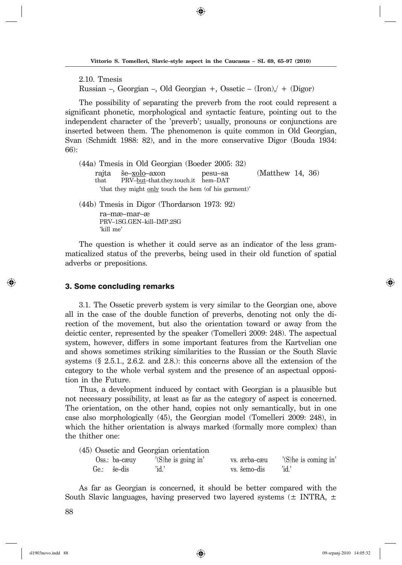2.10. Tmesis

Russian –, Georgian –, Old Georgian +, Ossetic –  $(Iron)$ , +  $(Digor)$ 

The possibility of separating the preverb from the root could represent a significant phonetic, morphological and syntactic feature, pointing out to the independent character of the 'preverb'; usually, pronouns or conjunctions are inserted between them. The phenomenon is quite common in Old Georgian, Svan (Schmidt 1988: 82), and in the more conservative Digor (Bouda 1934: 66):

(44a) Tmesis in Old Georgian (Boeder 2005: 32) rajta <u>še–xolo</u>–axon pesu–sa (Matthew 14, 36)<br>that PRV–but–that, they, touch it hem–DAT PRV–but–that.they.touch.it hem–DAT 'that they might only touch the hem (of his garment)'

(44b) Tmesis in Digor (Thordarson 1973: 92) ra–mæ–mar–æ<br>PRV–1SG.GEN–kill–IMP.2SG 'kill me'

The question is whether it could serve as an indicator of the less grammaticalized status of the preverbs, being used in their old function of spatial adverbs or prepositions.

#### 3. Some concluding remarks

3.1. The Ossetic preverb system is very similar to the Georgian one, above all in the case of the double function of preverbs, denoting not only the direction of the movement, but also the orientation toward or away from the deictic center, represented by the speaker (Tomelleri 2009: 248). The aspectual system, however, differs in some important features from the Kartvelian one and shows sometimes striking similarities to the Russian or the South Slavic systems  $(\S 2.5.1, 2.6.2, \S 2.8.1)$ : this concerns above all the extension of the category to the whole verbal system and the presence of an aspectual oppositiontion in the Future.

Thus, a development induced by contact with Georgian is a plausible but not necessary possibility, at least as far as the category of aspect is concerned. The orientation, on the other hand, copies not only semantically, but in one case also morphologically  $(45)$ , the Georgian model (Tomelleri 2009: 248), in which the hither orientation is always marked (formally more complex) than the thither one:

|  |               |                        | (45) Ossetic and Georgian orientation |              |       |                        |
|--|---------------|------------------------|---------------------------------------|--------------|-------|------------------------|
|  | Oss.: ba-cæuv |                        | $'(S)$ he is going in'                | ys. ærba-cæu |       | $'(S)$ he is coming in |
|  | Ge.: še–dis   | $\dot{\mathrm{1}}$ d.' |                                       | vs. šemo–dis | 'id.' |                        |

As far as Georgian is concerned, it should be better compared with the South Slavic languages, having preserved two layered systems ( $\pm$  INTRA,  $\pm$ 

88

↔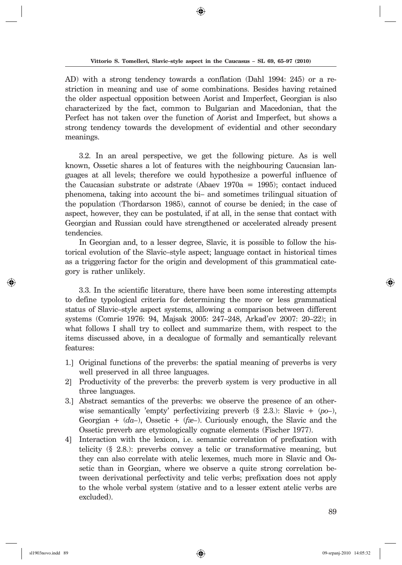AD) with a strong tendency towards a conflation (Dahl 1994: 245) or a restriction in meaning and use of some combinations. Besides having retained the older aspectual opposition between Aorist and Imperfect, Georgian is also characterized by the fact, common to Bulgarian and Macedonian, that the Perfect has not taken over the function of Aorist and Imperfect, but shows a strong tendency towards the development of evidential and other secondary meanings.

3.2. In an areal perspective, we get the following picture. As is well known, Ossetic shares a lot of features with the neighbouring Caucasian languages at all levels; therefore we could hypothesize a powerful influence of the Caucasian substrate or addered (Abaev  $1970a = 1995$ ); contact induced phenomena, taking into account the bi– and sometimes trilingual situation of the population (Thordarson 1985), cannot of course be denied; in the case of aspect, however, they can be postulated, if at all, in the sense that contact with Georgian and Russian could have strengthened or accelerated already present tendencies.

In Georgian and, to a lesser degree, Slavic, it is possible to follow the histo rical evolution of the Slavic–style aspect; language contact in historical times as a triggering factor for the origin and development of this grammatical category is rather unlikely.

3.3. In the scientific literature, there have been some interesting attempts to define typological criteria for determining the more or less grammatical status of Slavic–style aspect systems, allowing a comparison between different systems (Comrie 1976: 94, Majsak 2005: 247–248, Arkad'ev 2007: 20–22); in what follows I shall try to collect and summarize them, with respect to the items dis cus sed above, in a decalogue of formally and semantically relevant features:

- 1.] Original functions of the preverbs: the spatial meaning of preverbs is very well preserved in all three languages.
- 2] Productivity of the preverbs: the preverb system is very productive in all three languages.
- 3.] Abstract semantics of the preverbs: we observe the presence of an otherwise semantically 'empty' perfectivizing preverb  $(\S 2.3)$ : Slavic +  $(p_0)$ , Georgian +  $(da-)$ , Ossetic +  $(fae-)$ . Curiously enough, the Slavic and the Ossetic preverb are etymologically cognate elements (Fischer 1977).
- 4] Interaction with the lexicon, i.e. semantic correlation of prefixation with telicity  $(\S$  2.8.): preverbs convey a telic or transformative meaning, but they can also correlate with a telic lexemes, much more in Slavic and Ossetic than in Georgian, where we observe a quite strong correlation between derivational perfectivity and telic verbs; prefixation does not apply to the whole verbal system (stative and to a lesser extent atelic verbs are excluded).

↔

◈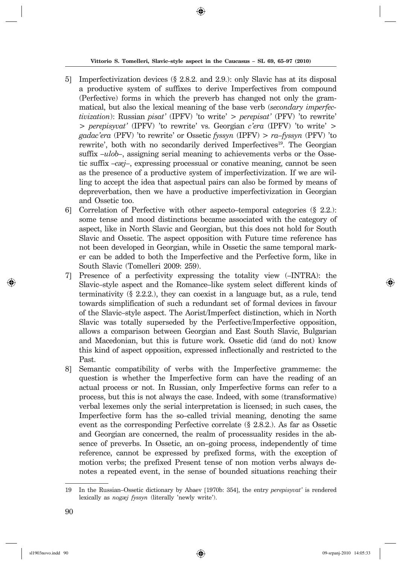⊕

- 5] Imperfectivization devices (§ 2.8.2. and 2.9.): only Slavic has at its disposal a productive system of suffixes to derive Imperfectives from compound (Perfective) forms in which the preverb has changed not only the grammatical, but also the lexical meaning of the base verb (*secondary imperfectivization*): Russian *pisat'* (IPFV) 'to write' > *perepisat'* (PFV) 'to rewrite' > *perepisyvat'* (IPFV) 'to re write' vs. Georgian *c'era* (IPFV) 'to write' > *gadac'era* (PFV) 'to rewrite' or Ossetic *fyssyn* (IPFV) > *ra–fyssyn* (PFV) 'to rewrite', both with no secondarily derived Imperfectives<sup>19</sup>. The Georgian suffix *–ulob–*, assigning serial meaning to achievements verbs or the Ossetic suffix *–cæj*–, expressing processual or conative meaning, cannot be seen as the presence of a productive system of imperfectivization. If we are willing to accept the idea that as pectual pairs can also be formed by means of de preverbation, then we have a productive imperfectivization in Georgian and Ossetic too.
- 6] Correlation of Perfective with other aspecto–temporal categories (§ 2.2.): some tense and mood distinctions became associated with the category of as pect, like in North Slavic and Georgian, but this does not hold for South Slavic and Ossetic. The aspect opposition with Future time reference has not been developed in Georgian, while in Ossetic the same temporal marker can be added to both the Imperfective and the Perfective form, like in South Slavic (Tomelleri 2009: 259).
- 7] Presence of a perfectivity expressing the totality view (–INTRA): the Slavic–style as pect and the Romance–like system select different kinds of terminativity (§ 2.2.2.), they can coexist in a language but, as a rule, tend towards simplification of such a redundant set of formal devices in favour of the Slavic–style aspect. The Aorist/Imperfect distinction, which in North Slavic was totally superseded by the Perfective/Imperfective opposition, allows a comparison between Georgian and East South Slavic, Bulgarian and Macedonian, but this is future work. Ossetic did (and do not) know this kind of aspect opposition, expressed inflectionally and restricted to the Past.
- 8] Semantic compatibility of verbs with the Imperfective grammeme: the question is whether the Imperfective form can have the reading of an actual process or not. In Russian, only Imperfective forms can refer to a process, but this is not always the case. Indeed, with some (transformative) verbal lexemes only the serial interpretation is licensed; in such cases, the Imperfective form has the so-called trivial meaning, denoting the same event as the corresponding Perfective correlate  $(\S 2.8.2)$ . As far as Ossetic and Georgian are concerned, the realm of processuality resides in the absence of preverbs. In Ossetic, an on–going process, independently of time reference, cannot be expressed by prefixed forms, with the exception of motion verbs; the prefixed Present tense of non motion verbs always denotes a repeated event, in the sense of bounded situations reaching their

↔

<sup>19</sup> In the Russian–Ossetic dictionary by Abaev [1970b: 354], the entry *pe re pi sy vat'* is rendered lexically as *nogæj fyssyn* (literally 'newly write').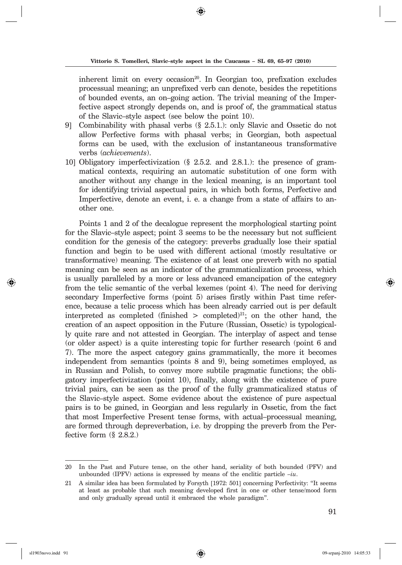inherent limit on every occasion<sup>20</sup>. In Georgian too, prefixation excludes processual meaning; an unprefixed verb can denote, besides the repetitions of bounded events, an on–going action. The trivial meaning of the Imperfective aspect strongly depends on, and is proof of, the grammatical status of the Slavic–style aspect (see below the point 10).

- 9] Combinability with phasal verbs (§ 2.5.1.): only Slavic and Ossetic do not allow Perfective forms with phasal verbs; in Georgian, both aspectual forms can be used, with the exclusion of instantaneous transformative verbs (*achievements*).
- 10] Obligatory imperfectivization (§ 2.5.2. and 2.8.1.): the presence of grammatical contexts, requiring an automatic substitution of one form with another without any change in the lexical meaning, is an important tool for identifying trivial aspectual pairs, in which both forms, Perfective and Imperfective, denote an event, i. e. a change from a state of affairs to another one.

Points 1 and 2 of the decalogue represent the morphological starting point for the Slavic–style aspect; point 3 seems to be the necessary but not sufficient condition for the genesis of the category: preverbs gradually lose their spatial function and begin to be used with different actional (mostly resultative or transformative) meaning. The existence of at least one preverb with no spatial meaning can be seen as an indicator of the grammaticalization process, which is usually paralleled by a more or less advanced emancipation of the category from the telic semantic of the verbal lexemes (point 4). The need for deriving secondary Imperfective forms (point 5) arises firstly within Past time reference, because a telic process which has been already carried out is per default interpreted as completed (finished  $\geq$  completed)<sup>21</sup>; on the other hand, the creation of an aspect opposition in the Future (Russian, Ossetic) is typologically quite rare and not attested in Georgian. The interplay of aspect and tense (or older aspect) is a quite interesting topic for further research (point 6 and 7). The more the aspect category gains grammatically, the more it becomes independent from semantics (points 8 and 9), being sometimes employed, as in Russian and Polish, to convey more subtile pragmatic functions; the obligatory imperfectivization (point 10), finally, along with the existence of pure trivial pairs, can be seen as the proof of the fully grammaticalized status of the Slavic–style aspect. Some evidence about the existence of pure aspectual pairs is to be gained, in Georgian and less regularly in Ossetic, from the fact that most Imperfective Present tense forms, with actual–processual meaning, are formed through depreverbation, i.e. by dropping the preverb from the Perfective form (§ 2.8.2.)

<sup>20</sup> In the Past and Future tense, on the other hand, seriality of both bounded (PFV) and unbounded (IPFV) actions is expressed by means of the enclitic particle  $-iu$ .

<sup>21</sup> A similar idea has been formulated by Forsyth [1972: 501] concerning Perfectivity: "It seems at least as probable that such meaning developed first in one or other tense/mood form and only gradually spread until it embraced the whole paradigm".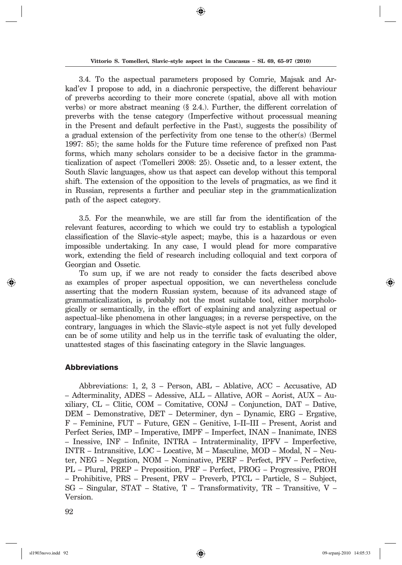3.4. To the aspectual parameters proposed by Comrie, Majsak and Arkad'ev I propose to add, in a diachronic perspective, the different behaviour of preverbs according to their more concrete (spatial, above all with motion verbs) or more abstract meaning  $(\S$  2.4.). Further, the different correlation of preverbs with the tense category (Imperfective without processual meaning in the Present and default perfective in the Past), suggests the possibility of a gradual extension of the perfectivity from one tense to the other(s) (Bermel 1997: 85); the same holds for the Future time reference of prefixed non Past forms, which many scholars consider to be a decisive factor in the grammaticalization of aspect (Tomelleri 2008: 25). Ossetic and, to a lesser extent, the South Slavic languages, show us that aspect can develop without this temporal shift. The extension of the opposition to the levels of pragmatics, as we find it in Russian, represents a further and peculiar step in the grammaticalization path of the aspect category.

3.5. For the meanwhile, we are still far from the identification of the relevant features, according to which we could try to establish a typological classification of the Slavic–style aspect; maybe, this is a hazardous or even impossible undertaking. In any case, I would plead for more comparative work, extending the field of research including colloquial and text corpora of Georgian and Ossetic.

To sum up, if we are not ready to consider the facts described above as examples of proper aspectual opposition, we can nevertheless conclude asserting that the modern Russian system, because of its advanced stage of grammaticalization, is probably not the most suitable tool, either morphologically or semantically, in the effort of explaining and analyzing aspectual or as pectual–like phenomena in other languages; in a reverse perspective, on the contrary, languages in which the Slavic–style aspect is not yet fully developed can be of some utility and help us in the terrific task of evaluating the older, unat tested stages of this fascinating category in the Slavic languages.

### Abbreviations

Abbreviations: 1, 2, 3 – Person, ABL – Ablative, ACC – Accusative, AD – Adterminality, ADES – Adessive, ALL – Allative, AOR – Aorist, AUX – Auxiliary,  $CL$  – Clitic,  $COM$  – Comitative,  $CONJ$  – Conjunction,  $DAT$  – Dative, DEM – Demonstrative, DET – Determiner, dyn – Dynamic, ERG – Ergative, F – Feminine, FUT – Future, GEN – Genitive, I–II–III – Present, Aorist and Perfect Series, IMP – Imperative, IMPF – Imperfect, INAN – Inanimate, INES  $-$  Inessive, INF – Infinite, INTRA – Intraterminality, IPFV – Imperfective,  $INTR - Intransitive, LOC - Locative, M - Masculine, MOD - Modal, N - Neu$ ter, NEG – Negation, NOM – Nominative, PERF – Perfect, PFV – Perfective, PL – Plural, PREP – Preposition, PRF – Perfect, PROG – Progressive, PROH  $-$  Prohibitive, PRS – Present, PRV – Preverb, PTCL – Particle, S – Subject,  $SG$  – Singular, STAT – Stative, T – Transformativity, TR – Transitive, V – Version.

92

↔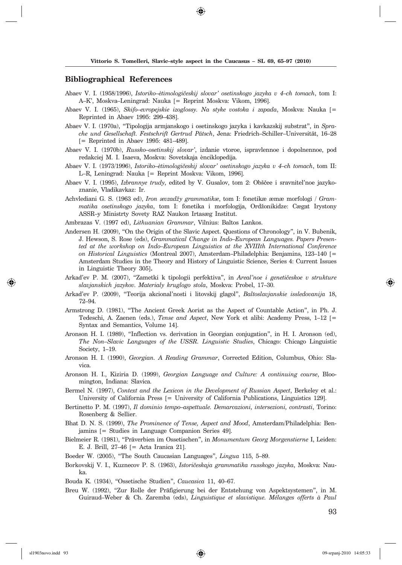### **Bibliographical References**

- Abaev V. I. (1958/1996), *Istoriko–ètimologičeskij slovar' osetinskogo jazyka v 4–ch tomach*, tom I: A–K', Moskva–Leningrad: Nauka [= Reprint Moskva: Vikom, 1996].
- Abaev V. I. (1965), *Skifo–evropejskie izoglossy. Na styke vostoka i zapada*, Moskva: Nauka [= Reprinted in Abaev 1995: 299–438].
- Abaev V. I. (1970a), "Tipologija armjanskogo i osetinskogo jazyka i kavkazskij substrat", in *Sprache und Ge sellschaft. Festschrift Gertrud Pätsch*, Jena: Friedrich–Schiller–Universität, 16–28 [= Reprinted in Abaev 1995: 481-489].
- Abaev V. I. (1970b), *Russko–osetinskij slovar'*, izdanie vtoroe, ispravlennoe i dopolnennoe, pod re dak ciej M. I. Isaeva, Moskva: Sovetskaja ènciklopedija.
- Abaev V. I. (1973/1996), *Istoriko–ètimologičeskij slovar' osetinskogo jazyka v 4–ch tomach*, tom II: L–R, Leningrad: Nauka [= Reprint Moskva: Vikom, 1996].
- Abaev V. I. (1995), *Izbrannye trudy*, edited by V. Gusalov, tom 2: Obščee i sravnitel'noe jazykoznanie, Vladikavkaz: Ir.
- Achvlediani G. S. (1963 ed), *Iron ævzad`y grammatikæ*, tom I: fonetikæ æmæ morfologi / *Gramma tika osetinskogo jazyka*, tom I: fonetika i morfologija, Ord`onikidze: Cægat Irystony ASSR-y Ministrty Sovety RAZ Naukon Irtasæg Institut.
- Ambrazas V. (1997 ed), *Lithuanian Grammar*, Vilnius: Baltos Lankos.
- Andersen H. (2009), "On the Origin of the Slavic Aspect. Questions of Chronology", in V. Bubenik, J. Hewson, S. Rose (eds), *Grammatical Change in Indo–European Languages. Papers Presented at the workshop on Indo–European Linguistics at the XVIIIth International Conference on Historical Linguistics* (Montreal 2007), Amsterdam–Philadelphia: Benjamins, 123–140 [= Amsterdam Studies in the Theory and History of Linguistic Science, Series 4: Current Issues in Linguistic Theory 305].
- Arkad'ev P. M. (2007), "Zametki k tipologii perfektiva", in Areal'noe i genetičeskoe v strukture *sla vjan skich jazy kov. Materialy kruglogo stola*, Moskva: Probel, 17–30.
- Arkad'ev P. (2009), "Teorija akcional'nosti i litovskij glagol", *Baltoslavjanskie issledovanija* 18, 72–94.
- Armstrong D. (1981), "The Ancient Greek Aorist as the Aspect of Countable Action", in Ph. J. Te des chi, A. Zaenen (eds.), *Tense and Aspect*, New York et alibi: Academy Press, 1–12 [= Syntax and Semantics, Volume 14].
- Aronson H. I. (1989), "Inflection vs. derivation in Georgian conjugation", in H. I. Aronson (ed), *The Non–Slavic Languages of the USSR. Linguistic Studies*, Chicago: Chicago Linguistic Society,  $1-19$ .
- Aronson H. I. (1990), *Georgian. A Reading Grammar*, Corrected Edition, Columbus, Ohio: Slavi ca.
- Aronson H. I., Kiziria D. (1999), *Georgian Language and Culture: A continuing course*, Bloomington, Indiana: Slavica.
- Bermel N. (1997), *Context and the Lexicon in the Development of Russian Aspect*, Berkeley et al.: University of California Press [= University of California Publications, Linguistics 129].
- Bertinetto P. M. (1997), *Il dominio tempo-aspettuale. Demarcazioni, intersezioni, contrasti*, Torino: Rosenberg & Sellier.
- Bhat D. N. S. (1999), *The Prominence of Tense, Aspect and Mood*, Amsterdam/Philadelphia: Benjamins [= Studies in Language Companion Series 49].
- Bielmeier R. (1981), "Präverbien im Ossetischen", in *Monumentum Georg Morgenstierne* I, Leiden: E. J. Brill, 27–46 [= Acta Iranica 21].
- Boeder W. (2005), "The South Caucasian Languages", *Lingua* 115, 5–89.
- Borkovskij V. I., Kuznecov P. S. (1963), *Istoričeskaja grammatika russkogo jazyka*, Moskva: Nauka.
- Bouda K. (1934), "Ossetische Studien", *Caucasica* 11, 40–67.
- Breu W. (1992), "Zur Rolle der Präfigierung bei der Entstehung von Aspektsystemen", in M. Gui raud–Weber & Ch. Zaremba (eds), *Linguistique et slavistique. Mélanges offerts à Paul*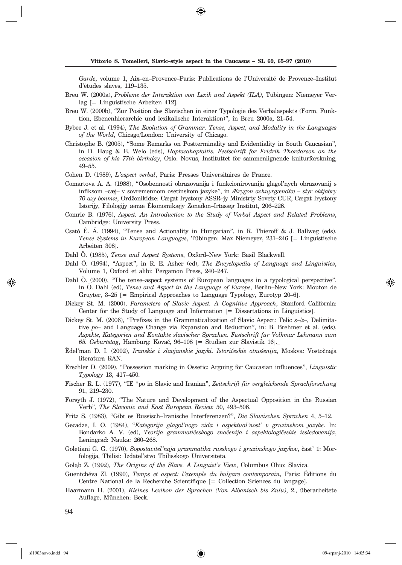Garde, volume 1, Aix–en–Provence–Paris: Publications de l'Université de Provence–Institut d'études slaves, 119–135.

- Breu W. (2000a), *Probleme der Interaktion von Lexik und Aspekt (ILA)*, Tübingen: Niemeyer Verlag [= Linguistische Arbeiten 412].
- Breu W. (2000b), "Zur Position des Slavischen in einer Typologie des Verbalaspekts (Form, Funktion, Ebenenhierarchie und lexikalische Interaktion)", in Breu 2000a, 21–54.
- Bybee J. et al. (1994), *The Evolution of Grammar. Tense, Aspect, and Modality in the Languages of the World*, Chicago/London: University of Chicago.
- Christophe B. (2005), "Some Remarks on Postterminality and Evidentiality in South Caucasian", in D. Haug & E. Welo (eds), *Hapta cahaptaitis. Festschrift for Fridrik Thordarson on the occasion of his 77th birth day*, Oslo: Novus, Instituttet for sammenlignende kulturforskning, 49–55.
- Cohen D. (1989), *L'aspect verbal*, Paris: Presses Universitaires de France.
- Comartova A. A. (1988), "Osobennosti obrazovanija i funkcionirovanija glagol'nych obrazovanij s in fik som –cæj– v sovremennom osetinskom jazyke", in *Ærygon achuyrgændtæ – styr oktjabry*  70 azy bonmæ, Ordžonikidze: Cægat Irystony ASSR-jy Ministrty Sovety CUR, Cægat Irystony Istorijy, Filologijy æmæ È konomikæjy Zonadon–Irtasæg Institut, 206–226.
- Comrie B. (1976), *Aspect. An Introduction to the Study of Verbal Aspect and Related Problems*, Cambridge: University Press.
- Csató É. Á. (1994), "Tense and Actionality in Hungarian", in R. Thieroff & J. Ballweg (eds), *Ten se Sys tems in European Languages*, Tübingen: Max Niemeyer, 231–246 [= Linguistische Arbeiten 308].
- Dahl Ö. (1985), *Tense and Aspect Systems*, Oxford–New York: Basil Blackwell.
- Dahl Ö. (1994), "Aspect", in R. E. Asher (ed), *The Encyclopedia of Language and Linguistics*, Volume 1, Oxford et alibi: Pergamon Press, 240-247.
- Dahl Ö. (2000), "The tense–aspect systems of European languages in a typological perspective", in Ö. Dahl (ed), *Tense and Aspect in the Language of Europe*, Berlin–New York: Mouton de Gruyter, 3–25 [= Empirical Approaches to Language Typology, Eurotyp 20–6].
- Dickey St. M. (2000), *Parameters of Slavic Aspect. A Cognitive Approach*, Stanford California: Center for the Study of Language and Information [= Dissertations in Linguistics].
- Dickey St. M. (2006), "Prefixes in the Grammaticalization of Slavic Aspect: Telic *s–/z–*, Delimitative *po*– and Language Change via Expansion and Reduction", in: B. Brehmer et al. (eds), Aspekte, Kategorien und Kontakte slavischer Sprachen. Festschrift für Volkmar Lehmann zum 65. Geburtstag, Hamburg: Kovač, 96–108 [= Studien zur Slavistik 16].
- Èdel'man D. I. (2002), *Iranskie i slavjanskie jazyki. Istoričeskie otnošenija*, Moskva: Vostočnaja literatura RAN.
- Erschler D. (2009), "Possession marking in Ossetic: Arguing for Caucasian influences", *Linguistic Ty pology* 13, 417–450.
- Fischer R. L. (1977), "IE \*po in Slavic and Iranian", *Zeitschrift für vergleichende Sprach for schung* 91, 219–230.
- Forsyth J. (1972), "The Nature and Development of the Aspectual Opposition in the Russian Verb", *The Slavonic and East European Review* 50, 493-506.
- Fritz S. (1983), "Gibt es Russisch–Iranische Interferenzen?", *Die Slawischen Sprachen* 4, 5–12.
- Gecadze, I. O. (1984), "*Kategorija glagol'nogo vida i aspektual'nost' v gruzinskom jazyke*. In: Bondarko A. V. (ed), *Teorija grammatičeskogo značenija i aspektologičeskie issledovanija*, Leningrad: Nauka: 260-268.
- Goletiani G. G. (1970), *Sopostavitel'naja grammatika russkogo i gruzinskogo jazykov*, čast' 1: Morfologija, Tbilisi: Izdatel'stvo Tbilisskogo Universiteta.
- Gołąb Z. (1992), *The Origins of the Slavs. A Linguist's View*, Columbus Ohio: Slavica.
- Guentchéva Zl. (1990), *Temps et aspect: l'exemple du bulgare contemporain*, Paris: Éditions du Centre National de la Recherche Scientifique [= Collection Sciences du langage].
- Haarmann H. (2001), *Kleines Lexikon der Sprachen (Von Albanisch bis Zulu)*, 2., überarbeitete Auflage, München: Beck.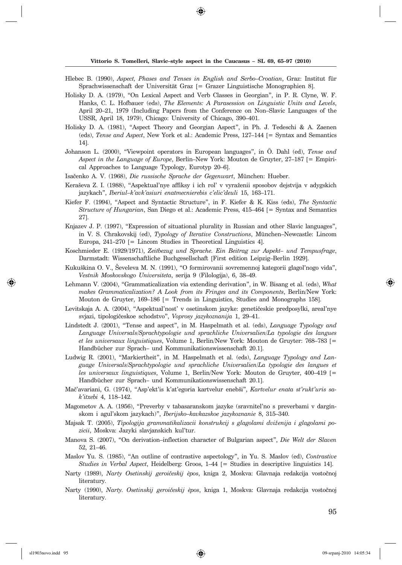⊕

- Hlebec B. (1990), *Aspect, Phases and Tenses in English and Serbo–Croatian*, Graz: Institut für Sprach wissenschaft der Universität Graz [= Grazer Linguistische Monographien 8].
- Holisky D. A. (1979), "On Lexical Aspect and Verb Classes in Georgian", in P. R. Clyne, W. F. Hanks, C. L. Hofbauer (eds), *The Elements: A Parasession on Linguistic Units and Levels*, April 20–21, 1979 (Including Papers from the Conference on Non–Slavic Languages of the USSR, April 18, 1979), Chicago: University of Chicago, 390–401.
- Holisky D. A. (1981), "Aspect Theory and Georgian Aspect", in Ph. J. Tedeschi & A. Zaenen (eds), *Ten se and Aspect*, New York et al.: Academic Press, 127–144 [= Syntax and Semantics 14].
- Johanson L. (2000), "Viewpoint operators in European languages", in Ö. Dahl (ed), *Tense and As pect in the Language of Europe*, Berlin–New York: Mouton de Gruyter, 27–187 [= Empirical Approaches to Language Typology, Eurotyp 20-6].
- Isačenko A. V. (1968), *Die russische Sprache der Gegenwart*, München: Hueber.
- Keraševa Z. I. (1988), "Aspektual'nye affiksy i ich rol' v vyraženii sposobov dejstvija v adygskich jazykach", *Iberiul-k'avk'asiuri enatmecnierebis c'elic'deuli* 15, 163-171.
- Kiefer F. (1994), "Aspect and Syntactic Structure", in F. Kiefer & K. Kiss (eds), *The Syn tactic Structure of Hungarian*, San Diego et al.: Academic Press, 415–464 [= Syntax and Semantics 27].
- Knjazev J. P. (1997), "Expression of situational plurality in Russian and other Slavic languages", in V. S. Chrakovskij (ed), *Typology of Iterative Constructions*, München–Newcastle: Lincom Europa, 241–270 [= Lincom Studies in Theoretical Linguistics 4].
- Koschmieder E. (1929/1971), *Zeitbezug und Sprache. Ein Beitrag zur Aspekt– und Tempusfrage*, Darm stadt: Wissenschaftliche Buchgesellschaft [First edition Leipzig–Berlin 1929].
- Kukuškina O. V., Ševeleva M. N. (1991), "O formirovanii sovremennoj kategorii glagol'nogo vida", *Vest nik Moskovskogo Universiteta*, serija 9 (Filologija), 6, 38–49.
- Lehmann V. (2004), "Grammaticalization via extending derivation", in W. Bisang et al. (eds), *What makes Grammaticalization? A Look from its Fringes and its Components*, Berlin/New York: Mouton de Gruyter, 169–186 [= Trends in Linguistics, Studies and Monographs 158].
- Levitskaja A. A. (2004), "Aspektual'nost' v osetinskom jazyke: genetičeskie predposylki, areal'nye svjazi, tipologičeskoe schodstvo", *Voprosy jazykoznanija* 1, 29-41.
- Lindstedt J. (2001), "Tense and aspect", in M. Haspelmath et al. (eds), *Language Typology and* Language Universals/Sprachtypologie und sprachliche Universalien/La typologie des langues *et les universaux linguistiques*, Volume 1, Berlin/New York: Mouton de Gruyter: 768–783 [= Handbücher zur Sprach– und Kommunikationswissenschaft 20.1].
- Ludwig R. (2001), "Markiertheit", in M. Haspelmath et al. (eds), *Language Typology and Lan*guage Universals/Sprachtypologie und sprachliche Universalien/La typologie des langues et *les universaux linguistiques*, Volume 1, Berlin/New York: Mouton de Gruyter, 400–419 [= Handbücher zur Sprach– und Kommunikationswissenschaft 20.1].
- Ma~'avariani, G. (1974), "Asp'ekt'is k'at'egoria kartvelur eneb{i", *Kartvelur enata st'rukt'uris sak'it xebi* 4, 118–142.
- Magometov A. A. (1956), "Preverby v tabasaranskom jazyke (sravnitel'no s preverbami v darginskom i a gul'skom jazykach)", *Iberijsko–kavkazskoe jazykoznanie* 8, 315–340.
- Majsak T. (2005), *Tipologija grammatikalizacii konstrukcij s glagolami dvi`enija i glagolami pozi cii*, Moskva: Jazyki slavjanskich kul'tur.
- Manova S. (2007), "On derivation–inflection character of Bulgarian aspect", *Die Welt der Slaven* 52, 21–46.
- Maslov Yu. S. (1985), "An outline of contrastive aspectology", in Yu. S. Maslov (ed), *Contrastive Stu dies in Verbal Aspect*, Heidelberg: Groos, 1–44 [= Studies in descriptive linguistics 14].
- Narty (1989), *Narty Osetinskij geroičeskij èpos*, kniga 2, Moskva: Glavnaja redakcija vostočnoj literatury.
- Narty (1990), *Narty. Osetinskij geroičeskij èpos*, kniga 1, Moskva: Glavnaja redakcija vostočnoj literatury.

95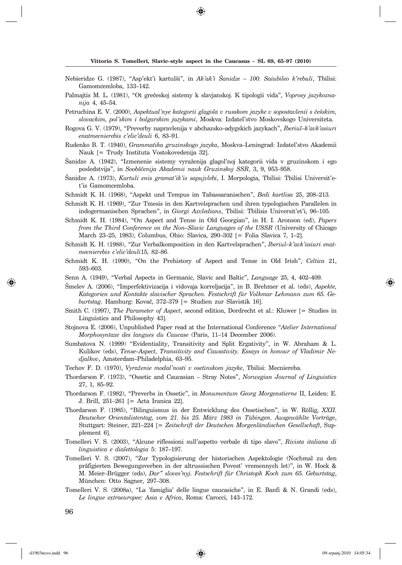⊕

- Nebieridze G. (1987), "Asp'ekt'i kartulši", in Ak'ak'i Šanidze 100. Saiubileo k'rebuli, Tbilisi: Gamomcem loba, 133-142.
- Palmajtis M. L. (1981), "Ot grečeskoj sistemy k slavjanskoj. K tipologii vida", *Voprosy jazykoznanija* 4, 45–54.
- Petruchina E. V. (2000), *Aspektual'nye kategorii glagola v russkom jazyke v sopostavlenii s češskim*,  $s$ lovackim, pol'skim i bolgarskim jazykami, Moskva: Izdatel'stvo Moskovskogo Universiteta.
- Rogova G. V. (1979), "Preverby napravlenija v abchazsko-adygskich jazykach", *Iberiul-k'avk'asiuri e nat mec nie re bis c'elic'deuli* 6, 83–91.
- Rudenko B. T. (1940), *Grammatika gruzinskogo jazyka*, Moskva-Leningrad: Izdatel'stvo Akademii Nauk [= Trudy Instituta Vostokovedenija 32].

Šanidze A. (1942), "Izmenenie sistemy vyraženija glagol'noj kategorii vida v gruzinskom i ego posledstvija", in *Soobščenija Akademii nauk Gruzinskoj SSR*, 3, 9, 953-958.

- Sanidze A. (1973), *Kartuli enis gramat'ik'is sapujvlebi*, I. Morpologia, Tbilisi: Tbilisi Universit'et'is Gamomcemloba.
- Schmidt K. H. (1968), "Aspekt und Tempus im Tabassaranischen", *Bedi kartlisa* 25, 208–213.
- Schmidt K. H. (1969), "Zur Tmesis in den Kartvelsprachen und ihren typologischen Parallelen in in do ger ma nischen Sprachen", in *Giorgi Axvledians*, Tbilisi: Tbilisis Universit'et'i, 96–105.
- Schmidt K. H. (1984), "On Aspect and Tense in Old Georgian", in H. I. Aronson (ed), *Papers from the Third Conference on the Non–Slavic Languages of the USSR* (University of Chicago March 23–25, 1983), Columbus, Ohio: Slavica, 290–302 [= Folia Slavica 7, 1–2].
- Schmidt K. H. (1988), "Zur Verbalkomposition in den Kartvelsprachen", *Iberiul–k'avk'asiuri enatmec nie re bis c'elic'deuli*15, 82–86.
- Schmidt K. H. (1990), "On the Prehistory of Aspect and Tense in Old Irish", *Celtica* 21, 593–603.
- Senn A. (1949), "Verbal Aspects in Germanic, Slavic and Baltic", *Language* 25, 4, 402–409.
- [melev A. (2006), "Imperfektivizacija i vidovaja korreljacija", in B. Brehmer et al. (eds), *Aspekte,*  Kategorien und Kontakte slavischer Sprachen. Festschrift für Volkmar Lehmann zum 65. Geburtstag. Hamburg: Kovač, 372-379 [= Studien zur Slavistik 16].
- Smith C. (1997), *The Parameter of Aspect*, second edition, Dordrecht et al.: Kluwer [= Studies in Linguistics and Philosophy 43].
- Stojnova E. (2006), Unpublished Paper read at the International Conference "Atelier International *Mor pho syntaxe des langues du Caucase* (Paris, 11–14 December 2006).
- Sumbatova N. (1999) "Evidentiality, Transitivity and Split Ergativity", in W. Abraham & L. Kulikov (eds), *Tense–Aspect, Transitivity and Causativity. Essays in honour of Vladimir Ne* $djalkov$ , Amsterdam–Philadelphia, 63–95.
- Techov F. D. (1970), *Vyra`enie modal'nosti v osetinskom jazyke*, Tbilisi: Mecniereba.
- Thordarson F. (1973), "Ossetic and Caucasian Stray Notes", *Norwegian Journal of Linguistics* 27, 1, 85–92.
- Thordarson F. (1982), "Preverbs in Ossetic", in *Monumentum Georg Morgenstierne* II, Leiden: E. J. Brill, 251–261 [= Acta Iranica 22].
- Thordarson F. (1985), "Bilinguismus in der Entwicklung des Ossetischen", in W. Röllig, XXII. *Deut scher O rien talistentag, vom 21. bis 25. März 1983 in Tübingen. Ausgewählte Vor trä ge*, Stutt gart: Steiner, 221–224 [= *Zeitschrift der Deutschen Morgenländischen Ge sell schaft*, Supplement 6].
- Tomelleri V. S. (2003), "Alcune riflessioni sull'aspetto verbale di tipo slavo", *Rivista italiana di lin guis ti ca e dialettologia* 5: 187–197.
- Tomelleri V. S. (2007), "Zur Typologisierung der historischen Aspektologie (Nochmal zu den präfigierten Bewegungsverben in der altrussischen Povest' vremennych let)", in W. Hock & M. Meier–Brüg ger (eds), *Dar" sloves'nyj. Fest schrift für Christoph Koch zum 65. Geburtstag*, München: Otto Sagner, 297–308.
- Tomelleri V. S. (2008a), "La 'famiglia' delle lingue caucasiche", in E. Banfi & N. Grandi (eds), Le lingue extraeuropee: Asia e Africa, Roma: Carocci, 143-172.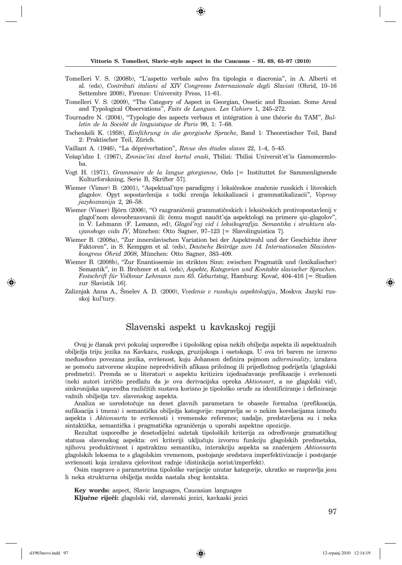- Tomelleri V. S. (2008b), "L'aspetto verbale salvo fra tipologia e diacronia", in A. Alberti et al. (eds), *Contributi italiani al XIV Congresso Internazionale degli Slavisti* (Ohrid, 10–16 Settembre 2008), Firenze: University Press, 11–61.
- Tomelleri V. S. (2009), "The Category of Aspect in Georgian, Ossetic and Russian. Some Areal and Typological Observations", *Faits de Langues. Les Cahiers* 1, 245–272.
- Tournadre N. (2004), "Typologie des aspects verbaux et intégration à une théorie du TAM", *Bulle tin de la Société de linguistique de Paris* 99, 1: 7–68.
- Tschenkéli K. (1958), *Einführung in die georgische Sprache*, Band 1: Theoretischer Teil, Band 2: Praktischer Teil, Zürich.
- Vaillant A. (1946), "La dépréverbation", *Revue des études slaves* 22, 1–4, 5–45.
- Vešap'idze I. (1967), *Zmnisc'ini dzvel kartul enaši*, Tbilisi: Tbilisi Universit'et'is Gamomcemloba.
- Vogt H. (1971), *Grammaire de la langue géorgienne*, Oslo [= Instituttet for Sammenlignende Kulturforskning, Serie B, Skrifter 57].
- Wiemer (Vimer) B. (2001), "Aspektual'nye paradigmy i leksičeskoe značenie russkich i litovskich gla golov. O pyt sopostavlenija s to~ki zrenija leksikalizacii i grammatikalizacii", *Voprosy jazyko zna nija* 2, 26–58.
- Wiemer (Vimer) Björn (2006), "O razgraničenii grammatičeskich i leksičeskich protivopostavlenij v glagol'nom slovoobrazovanii ili: čemu mogut naučit'sja aspektologi na primere sja-glagolov" in V. Lehmann (F. Lemann, ed), *Glagol'nyj vid i leksikografija. Semantika i struktura slavjanskogo vida IV*, München: Otto Sagner, 97–123 [= Slavolinguistica 7].
- Wiemer B. (2008a), "Zur innerslavischen Variation bei der Aspektwahl und der Geschichte ihrer Faktoren", in S. Kempgen et al. (eds), *Deutsche Beiträge zum 14. Internationalen Slavistenkon gress Ohrid 2008*, Mün chen: Otto Sagner, 383–409.
- Wiemer B. (2008b), "Zur Enantiosemie im strikten Sinn: zwischen Pragmatik und (lexikalischer) Semantik", in B. Brehmer et al. (eds), *Aspekte, Kategorien und Kontakte slavischer Sprachen. Festschrift für Volkmar Lehmann zum 65. Geburtstag*, Hamburg: Kovač, 404–416 [= Studien zur Slavistik 16].
- Zaliznjak Anna A., [melev A. D. (2000), *Vvedenie v russkuju aspektologiju*, Moskva: Jazyki russkoj kul'tury.

## Slavenski aspekt u kavkaskoj regiji

Ovaj je članak prvi pokušaj usporedbe i tipološkog opisa nekih obilježja aspekta ili aspektualnih obilje`ja triju jezika na Kavkazu, ruskoga, gruzijskoga i osetskoga. U ova tri barem ne izravno međusobno povezana jezika, svršenost, koju Johanson definira pojmom *adterminality*, izražava se pomoću zatvorene skupine nepredvidivih afikasa priložnog ili prijedložnog podrijetla (glagolski predmetci). Premda se u literaturi o aspektu kritizira izjednačavanje prefiksacije i svršenosti (neki autori izri~ito predla`u da je ova derivacijska opreka *Aktionsart*, a ne glagolski vid), sinkronijska usporedba različitih sustava korisno je tipološko oruđe za identificiranje i definiranje važnih obilježja tzv. slavenskog aspekta.

Analiza se usredotočuje na deset glavnih parametara te obaseže formalna (prefiksacija, sufiksacija i tmeza) i semantička obilježja kategorije: raspravlja se o nekim korelacijama između aspekta i *Aktionsarta* te svr{enosti i vremenske reference; nadalje, predstavljena su i neka sintaktička, semantička i pragmatička ograničenja u uporabi aspektne opozicije.

Rezultat usporedbe je desetodijelni sažetak tipoloških kriterija za određivanje gramatičkog statusa slavenskog aspekta: ovi kriteriji uključuju izvornu funkciju glagolskih predmetaka, njihovu produktivnost i apstraktnu semantiku, interakciju aspekta sa zna~enjem *Aktionsarta* glagolskih leksema te s glagolskim vremenom, postojanje sredstava imperfektivizacije i postojanje svršenosti koja izražava cjelovitost radnje (distinkcija aorist/imperfekt).

Osim rasprave o parametrima tipolo{ke varijacije unutar kategorije, ukratko se raspravlja jesu li neka strukturna obilježja možda nastala zbog kontakta.

**Key words:** aspect, Slavic languages, Caucasian languages Ključne riječi: glagolski vid, slavenski jezici, kavkaski jezici